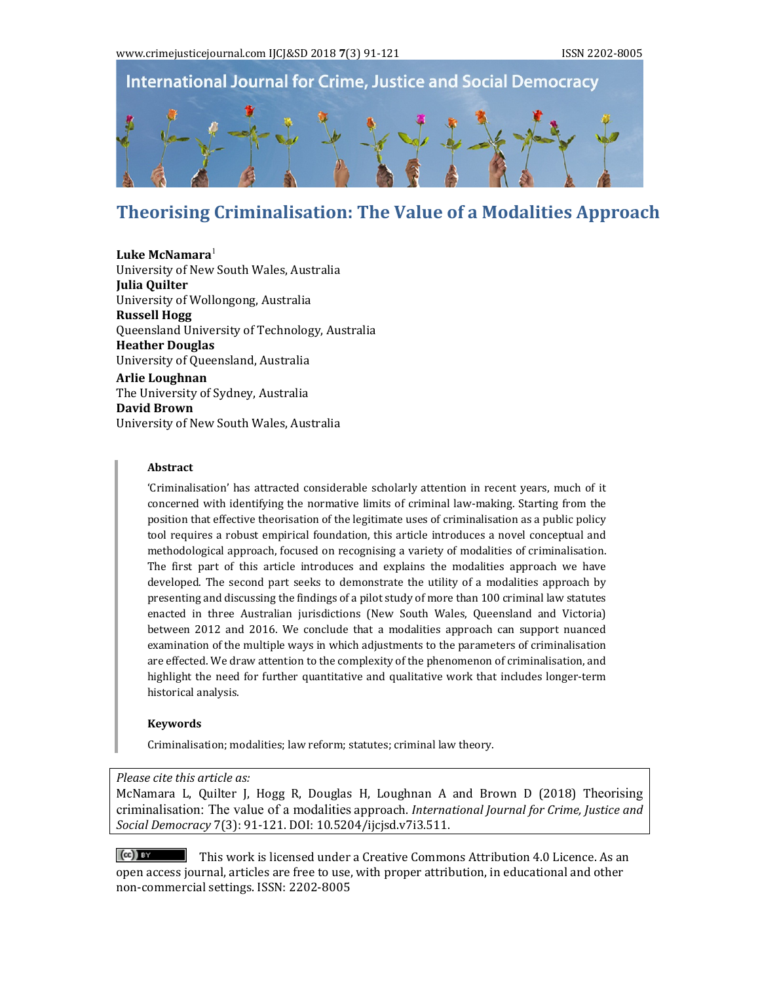

# **Theorising Criminalisation: The Value of a Modalities Approach**

#### **Luke McNamara**<sup>1</sup>

University of New South Wales, Australia **Julia Quilter** University of Wollongong, Australia **Russell Hogg** Queensland University of Technology, Australia **Heather Douglas** University of Queensland, Australia **Arlie Loughnan** The University of Sydney, Australia **David Brown** University of New South Wales, Australia

#### **Abstract**

'Criminalisation' has attracted considerable scholarly attention in recent years, much of it concerned with identifying the normative limits of criminal law-making. Starting from the position that effective theorisation of the legitimate uses of criminalisation as a public policy tool requires a robust empirical foundation, this article introduces a novel conceptual and methodological approach, focused on recognising a variety of modalities of criminalisation. The first part of this article introduces and explains the modalities approach we have developed. The second part seeks to demonstrate the utility of a modalities approach by presenting and discussing the findings of a pilot study of more than 100 criminal law statutes enacted in three Australian jurisdictions (New South Wales, Queensland and Victoria) between 2012 and 2016. We conclude that a modalities approach can support nuanced examination of the multiple ways in which adjustments to the parameters of criminalisation are effected. We draw attention to the complexity of the phenomenon of criminalisation, and highlight the need for further quantitative and qualitative work that includes longer-term historical analysis.

#### **Keywords**

Criminalisation; modalities; law reform; statutes; criminal law theory.

#### *Please cite this article as:*

McNamara L, Quilter J, Hogg R, Douglas H, Loughnan A and Brown D (2018) Theorising criminalisation: The value of a modalities approach. *International Journal for Crime, Justice and Social Democracy* 7(3): 91‐121. DOI: 10.5204/ijcjsd.v7i3.511. 

 $\lceil$  (cc)  $\lceil$   $\lceil$   $\lceil$   $\lceil$   $\lceil$   $\lceil$   $\lceil$   $\lceil$   $\lceil$   $\lceil$   $\lceil$   $\lceil$   $\lceil$   $\lceil$   $\lceil$   $\lceil$   $\lceil$   $\lceil$   $\lceil$   $\lceil$   $\lceil$   $\lceil$   $\lceil$   $\lceil$   $\lceil$   $\lceil$   $\lceil$   $\lceil$   $\lceil$   $\lceil$   $\lceil$   $\lceil$   $\lceil$   $\lceil$   $\lceil$  open access journal, articles are free to use, with proper attribution, in educational and other non-commercial settings. ISSN: 2202-8005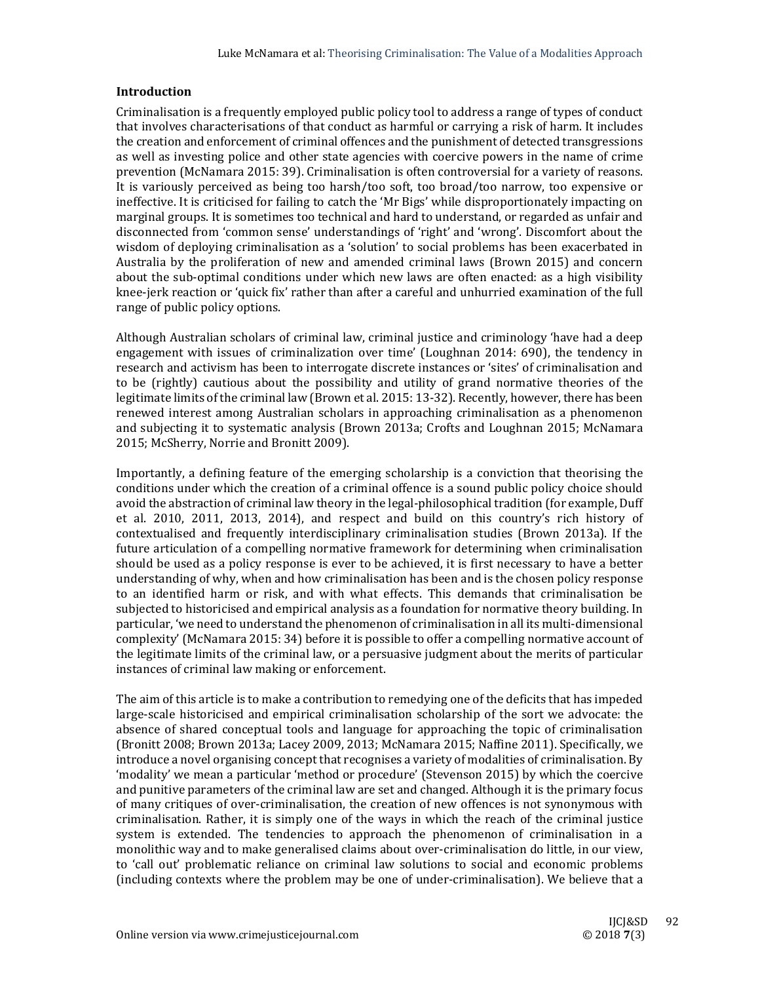#### **Introduction**

Criminalisation is a frequently employed public policy tool to address a range of types of conduct that involves characterisations of that conduct as harmful or carrying a risk of harm. It includes the creation and enforcement of criminal offences and the punishment of detected transgressions as well as investing police and other state agencies with coercive powers in the name of crime prevention (McNamara 2015: 39). Criminalisation is often controversial for a variety of reasons. It is variously perceived as being too harsh/too soft, too broad/too narrow, too expensive or ineffective. It is criticised for failing to catch the 'Mr Bigs' while disproportionately impacting on marginal groups. It is sometimes too technical and hard to understand, or regarded as unfair and disconnected from 'common sense' understandings of 'right' and 'wrong'. Discomfort about the wisdom of deploying criminalisation as a 'solution' to social problems has been exacerbated in Australia by the proliferation of new and amended criminal laws (Brown 2015) and concern about the sub-optimal conditions under which new laws are often enacted: as a high visibility knee-jerk reaction or 'quick fix' rather than after a careful and unhurried examination of the full range of public policy options.

Although Australian scholars of criminal law, criminal justice and criminology 'have had a deep engagement with issues of criminalization over time' (Loughnan 2014:  $690$ ), the tendency in research and activism has been to interrogate discrete instances or 'sites' of criminalisation and to be (rightly) cautious about the possibility and utility of grand normative theories of the legitimate limits of the criminal law (Brown et al. 2015: 13-32). Recently, however, there has been renewed interest among Australian scholars in approaching criminalisation as a phenomenon and subjecting it to systematic analysis (Brown 2013a; Crofts and Loughnan 2015; McNamara 2015; McSherry, Norrie and Bronitt 2009).

Importantly, a defining feature of the emerging scholarship is a conviction that theorising the conditions under which the creation of a criminal offence is a sound public policy choice should avoid the abstraction of criminal law theory in the legal-philosophical tradition (for example, Duff et al. 2010, 2011, 2013, 2014), and respect and build on this country's rich history of contextualised and frequently interdisciplinary criminalisation studies (Brown 2013a). If the future articulation of a compelling normative framework for determining when criminalisation should be used as a policy response is ever to be achieved, it is first necessary to have a better understanding of why, when and how criminalisation has been and is the chosen policy response to an identified harm or risk, and with what effects. This demands that criminalisation be subjected to historicised and empirical analysis as a foundation for normative theory building. In particular, 'we need to understand the phenomenon of criminalisation in all its multi-dimensional complexity' (McNamara 2015: 34) before it is possible to offer a compelling normative account of the legitimate limits of the criminal law, or a persuasive judgment about the merits of particular instances of criminal law making or enforcement.

The aim of this article is to make a contribution to remedying one of the deficits that has impeded large-scale historicised and empirical criminalisation scholarship of the sort we advocate: the absence of shared conceptual tools and language for approaching the topic of criminalisation (Bronitt 2008; Brown 2013a; Lacey 2009, 2013; McNamara 2015; Naffine 2011). Specifically, we introduce a novel organising concept that recognises a variety of modalities of criminalisation. By 'modality' we mean a particular 'method or procedure' (Stevenson 2015) by which the coercive and punitive parameters of the criminal law are set and changed. Although it is the primary focus of many critiques of over-criminalisation, the creation of new offences is not synonymous with criminalisation. Rather, it is simply one of the ways in which the reach of the criminal justice system is extended. The tendencies to approach the phenomenon of criminalisation in a monolithic way and to make generalised claims about over-criminalisation do little, in our view, to 'call out' problematic reliance on criminal law solutions to social and economic problems (including contexts where the problem may be one of under-criminalisation). We believe that a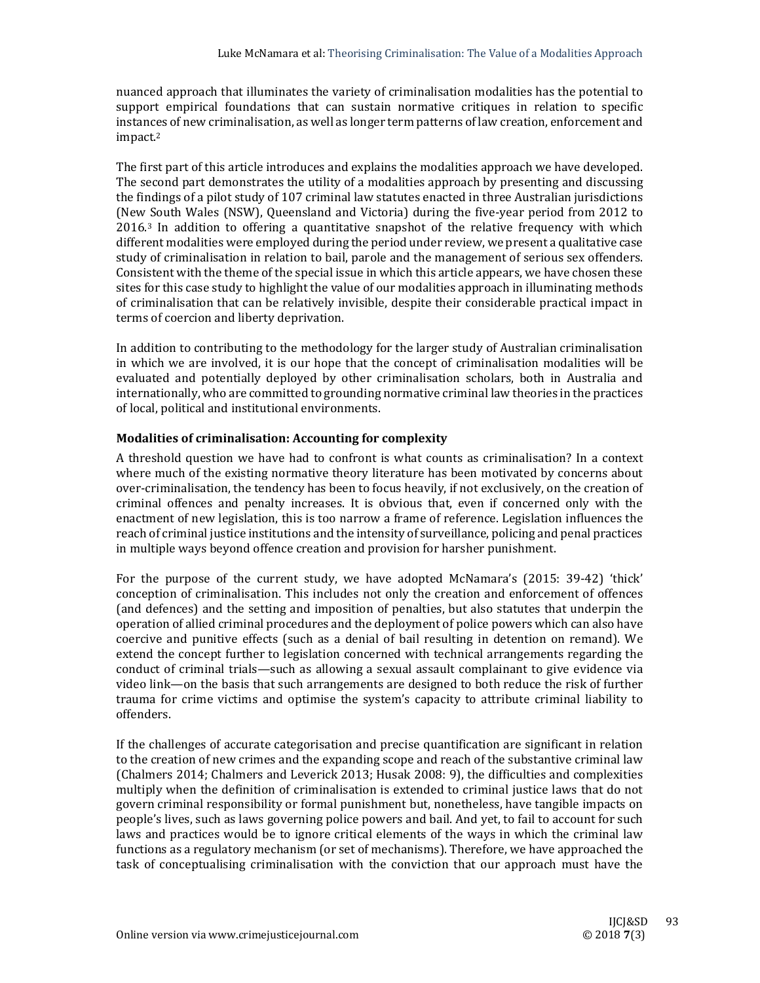nuanced approach that illuminates the variety of criminalisation modalities has the potential to support empirical foundations that can sustain normative critiques in relation to specific instances of new criminalisation, as well as longer term patterns of law creation, enforcement and impact.2

The first part of this article introduces and explains the modalities approach we have developed. The second part demonstrates the utility of a modalities approach by presenting and discussing the findings of a pilot study of 107 criminal law statutes enacted in three Australian jurisdictions (New South Wales (NSW), Queensland and Victoria) during the five-year period from 2012 to  $2016.3$  In addition to offering a quantitative snapshot of the relative frequency with which different modalities were employed during the period under review, we present a qualitative case study of criminalisation in relation to bail, parole and the management of serious sex offenders. Consistent with the theme of the special issue in which this article appears, we have chosen these sites for this case study to highlight the value of our modalities approach in illuminating methods of criminalisation that can be relatively invisible, despite their considerable practical impact in terms of coercion and liberty deprivation.

In addition to contributing to the methodology for the larger study of Australian criminalisation in which we are involved, it is our hope that the concept of criminalisation modalities will be evaluated and potentially deployed by other criminalisation scholars, both in Australia and internationally, who are committed to grounding normative criminal law theories in the practices of local, political and institutional environments.

## **Modalities of criminalisation: Accounting for complexity**

A threshold question we have had to confront is what counts as criminalisation? In a context where much of the existing normative theory literature has been motivated by concerns about over-criminalisation, the tendency has been to focus heavily, if not exclusively, on the creation of criminal offences and penalty increases. It is obvious that, even if concerned only with the enactment of new legislation, this is too narrow a frame of reference. Legislation influences the reach of criminal justice institutions and the intensity of surveillance, policing and penal practices in multiple ways beyond offence creation and provision for harsher punishment.

For the purpose of the current study, we have adopted McNamara's  $(2015: 39-42)$  'thick' conception of criminalisation. This includes not only the creation and enforcement of offences (and defences) and the setting and imposition of penalties, but also statutes that underpin the operation of allied criminal procedures and the deployment of police powers which can also have coercive and punitive effects (such as a denial of bail resulting in detention on remand). We extend the concept further to legislation concerned with technical arrangements regarding the conduct of criminal trials—such as allowing a sexual assault complainant to give evidence via video link—on the basis that such arrangements are designed to both reduce the risk of further trauma for crime victims and optimise the system's capacity to attribute criminal liability to offenders. 

If the challenges of accurate categorisation and precise quantification are significant in relation to the creation of new crimes and the expanding scope and reach of the substantive criminal law (Chalmers 2014; Chalmers and Leverick 2013; Husak 2008: 9), the difficulties and complexities multiply when the definition of criminalisation is extended to criminal justice laws that do not govern criminal responsibility or formal punishment but, nonetheless, have tangible impacts on people's lives, such as laws governing police powers and bail. And yet, to fail to account for such laws and practices would be to ignore critical elements of the ways in which the criminal law functions as a regulatory mechanism (or set of mechanisms). Therefore, we have approached the task of conceptualising criminalisation with the conviction that our approach must have the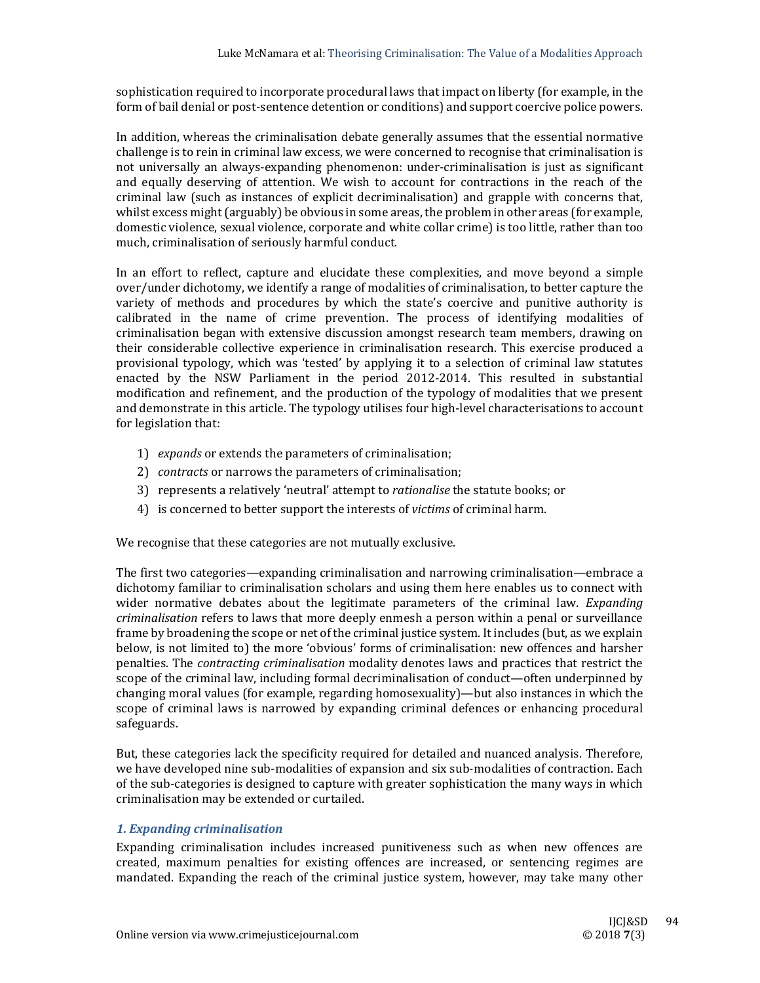sophistication required to incorporate procedural laws that impact on liberty (for example, in the form of bail denial or post-sentence detention or conditions) and support coercive police powers.

In addition, whereas the criminalisation debate generally assumes that the essential normative challenge is to rein in criminal law excess, we were concerned to recognise that criminalisation is not universally an always‐expanding phenomenon: under‐criminalisation is just as significant and equally deserving of attention. We wish to account for contractions in the reach of the criminal law (such as instances of explicit decriminalisation) and grapple with concerns that, whilst excess might  $\langle \text{arguably} \rangle$  be obvious in some areas, the problem in other areas (for example, domestic violence, sexual violence, corporate and white collar crime) is too little, rather than too much, criminalisation of seriously harmful conduct.

In an effort to reflect, capture and elucidate these complexities, and move beyond a simple over/under dichotomy, we identify a range of modalities of criminalisation, to better capture the variety of methods and procedures by which the state's coercive and punitive authority is calibrated in the name of crime prevention. The process of identifying modalities of criminalisation began with extensive discussion amongst research team members, drawing on their considerable collective experience in criminalisation research. This exercise produced a provisional typology, which was 'tested' by applying it to a selection of criminal law statutes enacted by the NSW Parliament in the period 2012-2014. This resulted in substantial modification and refinement, and the production of the typology of modalities that we present and demonstrate in this article. The typology utilises four high-level characterisations to account for legislation that:

- 1) *expands* or extends the parameters of criminalisation;
- 2) *contracts* or narrows the parameters of criminalisation;
- 3) represents a relatively 'neutral' attempt to *rationalise* the statute books; or
- 4) is concerned to better support the interests of *victims* of criminal harm.

We recognise that these categories are not mutually exclusive.

The first two categories—expanding criminalisation and narrowing criminalisation—embrace a dichotomy familiar to criminalisation scholars and using them here enables us to connect with wider normative debates about the legitimate parameters of the criminal law. *Expanding criminalisation* refers to laws that more deeply enmesh a person within a penal or surveillance frame by broadening the scope or net of the criminal justice system. It includes (but, as we explain below, is not limited to) the more 'obvious' forms of criminalisation: new offences and harsher penalties. The *contracting criminalisation* modality denotes laws and practices that restrict the scope of the criminal law, including formal decriminalisation of conduct—often underpinned by changing moral values (for example, regarding homosexuality)—but also instances in which the scope of criminal laws is narrowed by expanding criminal defences or enhancing procedural safeguards. 

But, these categories lack the specificity required for detailed and nuanced analysis. Therefore, we have developed nine sub-modalities of expansion and six sub-modalities of contraction. Each of the sub-categories is designed to capture with greater sophistication the many ways in which criminalisation may be extended or curtailed.

#### *1. Expanding criminalisation*

Expanding criminalisation includes increased punitiveness such as when new offences are created, maximum penalties for existing offences are increased, or sentencing regimes are mandated. Expanding the reach of the criminal justice system, however, may take many other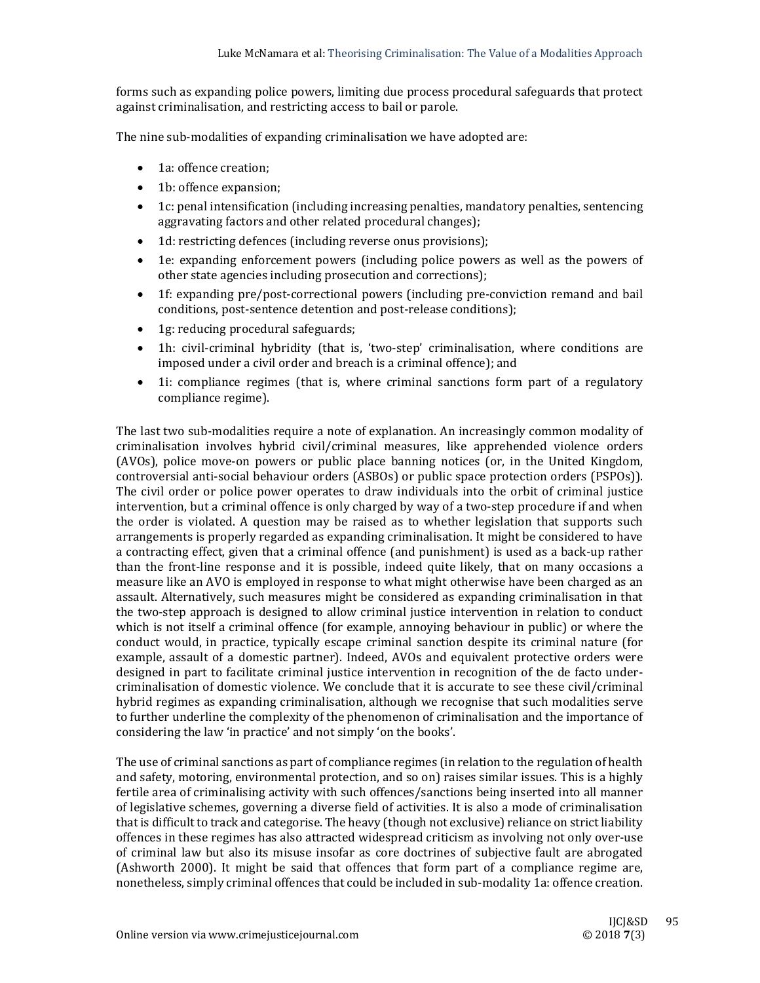forms such as expanding police powers, limiting due process procedural safeguards that protect against criminalisation, and restricting access to bail or parole.

The nine sub-modalities of expanding criminalisation we have adopted are:

- 1a: offence creation:
- 1b: offence expansion;
- 1c: penal intensification (including increasing penalties, mandatory penalties, sentencing aggravating factors and other related procedural changes);
- 1d: restricting defences (including reverse onus provisions);
- 1e: expanding enforcement powers (including police powers as well as the powers of other state agencies including prosecution and corrections):
- 1f: expanding pre/post-correctional powers (including pre-conviction remand and bail conditions, post-sentence detention and post-release conditions);
- 1g: reducing procedural safeguards;
- 1h: civil-criminal hybridity (that is, 'two-step' criminalisation, where conditions are imposed under a civil order and breach is a criminal offence); and
- 1i: compliance regimes (that is, where criminal sanctions form part of a regulatory compliance regime).

The last two sub-modalities require a note of explanation. An increasingly common modality of criminalisation involves hybrid civil/criminal measures, like apprehended violence orders (AVOs), police move-on powers or public place banning notices (or, in the United Kingdom, controversial anti-social behaviour orders (ASBOs) or public space protection orders (PSPOs)). The civil order or police power operates to draw individuals into the orbit of criminal justice intervention, but a criminal offence is only charged by way of a two-step procedure if and when the order is violated. A question may be raised as to whether legislation that supports such arrangements is properly regarded as expanding criminalisation. It might be considered to have a contracting effect, given that a criminal offence (and punishment) is used as a back-up rather than the front-line response and it is possible, indeed quite likely, that on many occasions a measure like an AVO is employed in response to what might otherwise have been charged as an assault. Alternatively, such measures might be considered as expanding criminalisation in that the two-step approach is designed to allow criminal justice intervention in relation to conduct which is not itself a criminal offence (for example, annoying behaviour in public) or where the conduct would, in practice, typically escape criminal sanction despite its criminal nature (for example, assault of a domestic partner). Indeed, AVOs and equivalent protective orders were designed in part to facilitate criminal justice intervention in recognition of the de facto undercriminalisation of domestic violence. We conclude that it is accurate to see these civil/criminal hybrid regimes as expanding criminalisation, although we recognise that such modalities serve to further underline the complexity of the phenomenon of criminalisation and the importance of considering the law 'in practice' and not simply 'on the books'.

The use of criminal sanctions as part of compliance regimes (in relation to the regulation of health and safety, motoring, environmental protection, and so on) raises similar issues. This is a highly fertile area of criminalising activity with such offences/sanctions being inserted into all manner of legislative schemes, governing a diverse field of activities. It is also a mode of criminalisation that is difficult to track and categorise. The heavy (though not exclusive) reliance on strict liability offences in these regimes has also attracted widespread criticism as involving not only over-use of criminal law but also its misuse insofar as core doctrines of subjective fault are abrogated (Ashworth 2000). It might be said that offences that form part of a compliance regime are, nonetheless, simply criminal offences that could be included in sub-modality 1a: offence creation.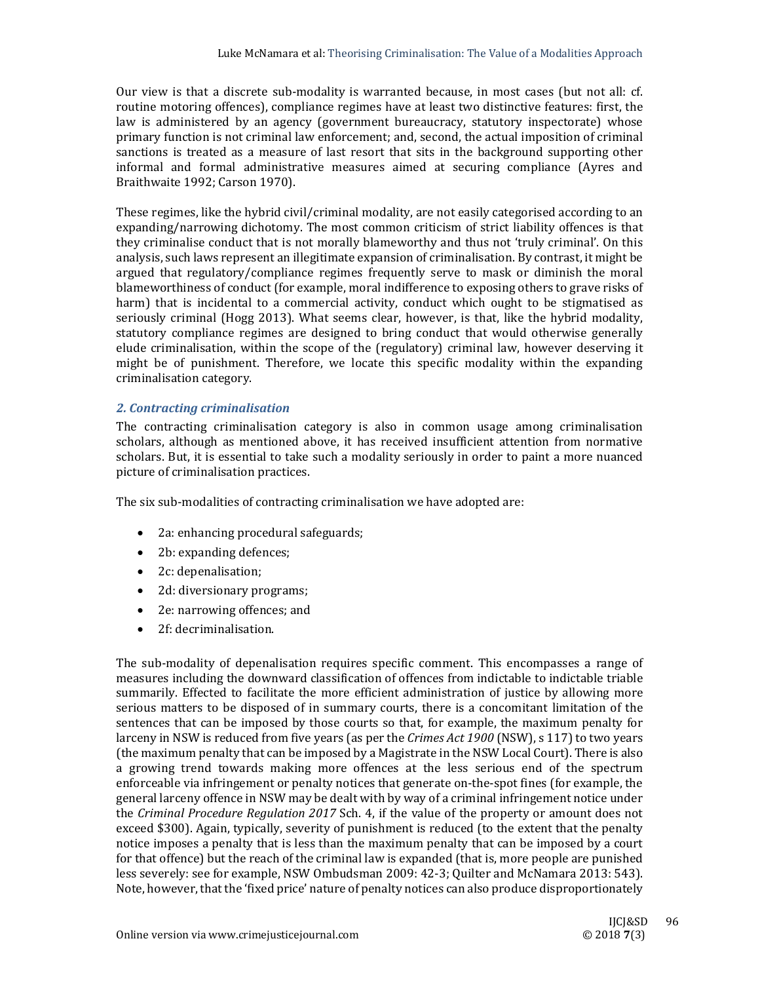Our view is that a discrete sub-modality is warranted because, in most cases (but not all: cf. routine motoring offences), compliance regimes have at least two distinctive features: first, the law is administered by an agency (government bureaucracy, statutory inspectorate) whose primary function is not criminal law enforcement; and, second, the actual imposition of criminal sanctions is treated as a measure of last resort that sits in the background supporting other informal and formal administrative measures aimed at securing compliance (Ayres and Braithwaite 1992; Carson 1970).

These regimes, like the hybrid civil/criminal modality, are not easily categorised according to an expanding/narrowing dichotomy. The most common criticism of strict liability offences is that they criminalise conduct that is not morally blameworthy and thus not 'truly criminal'. On this analysis, such laws represent an illegitimate expansion of criminalisation. By contrast, it might be argued that regulatory/compliance regimes frequently serve to mask or diminish the moral blameworthiness of conduct (for example, moral indifference to exposing others to grave risks of harm) that is incidental to a commercial activity, conduct which ought to be stigmatised as seriously criminal (Hogg 2013). What seems clear, however, is that, like the hybrid modality, statutory compliance regimes are designed to bring conduct that would otherwise generally elude criminalisation, within the scope of the (regulatory) criminal law, however deserving it might be of punishment. Therefore, we locate this specific modality within the expanding criminalisation category.

## *2. Contracting criminalisation*

The contracting criminalisation category is also in common usage among criminalisation scholars, although as mentioned above, it has received insufficient attention from normative scholars. But, it is essential to take such a modality seriously in order to paint a more nuanced picture of criminalisation practices.

The six sub-modalities of contracting criminalisation we have adopted are:

- 2a: enhancing procedural safeguards;
- 2b: expanding defences;
- 2c: depenalisation;
- 2d: diversionary programs;
- 2e: narrowing offences; and
- 2f: decriminalisation.

The sub-modality of depenalisation requires specific comment. This encompasses a range of measures including the downward classification of offences from indictable to indictable triable summarily. Effected to facilitate the more efficient administration of justice by allowing more serious matters to be disposed of in summary courts, there is a concomitant limitation of the sentences that can be imposed by those courts so that, for example, the maximum penalty for larceny in NSW is reduced from five years (as per the *Crimes Act* 1900 (NSW), s 117) to two years (the maximum penalty that can be imposed by a Magistrate in the NSW Local Court). There is also a growing trend towards making more offences at the less serious end of the spectrum enforceable via infringement or penalty notices that generate on-the-spot fines (for example, the general larceny offence in NSW may be dealt with by way of a criminal infringement notice under the *Criminal Procedure Regulation 2017* Sch. 4, if the value of the property or amount does not exceed \$300). Again, typically, severity of punishment is reduced (to the extent that the penalty notice imposes a penalty that is less than the maximum penalty that can be imposed by a court for that offence) but the reach of the criminal law is expanded (that is, more people are punished less severely: see for example, NSW Ombudsman 2009: 42-3; Quilter and McNamara 2013: 543). Note, however, that the 'fixed price' nature of penalty notices can also produce disproportionately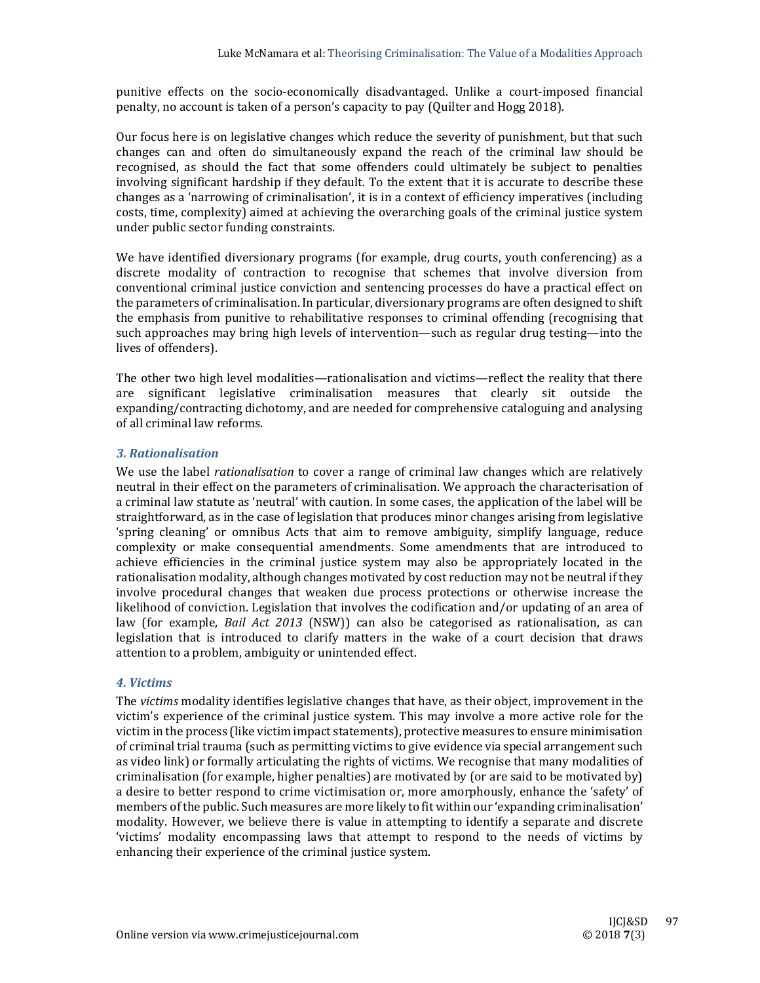punitive effects on the socio-economically disadvantaged. Unlike a court-imposed financial penalty, no account is taken of a person's capacity to pay (Quilter and Hogg 2018).

Our focus here is on legislative changes which reduce the severity of punishment, but that such changes can and often do simultaneously expand the reach of the criminal law should be recognised, as should the fact that some offenders could ultimately be subject to penalties involving significant hardship if they default. To the extent that it is accurate to describe these changes as a 'narrowing of criminalisation', it is in a context of efficiency imperatives (including costs, time, complexity) aimed at achieving the overarching goals of the criminal justice system under public sector funding constraints.

We have identified diversionary programs (for example, drug courts, youth conferencing) as a discrete modality of contraction to recognise that schemes that involve diversion from conventional criminal justice conviction and sentencing processes do have a practical effect on the parameters of criminalisation. In particular, diversionary programs are often designed to shift the emphasis from punitive to rehabilitative responses to criminal offending (recognising that such approaches may bring high levels of intervention—such as regular drug testing—into the lives of offenders).

The other two high level modalities—rationalisation and victims—reflect the reality that there are significant legislative criminalisation measures that clearly sit outside the expanding/contracting dichotomy, and are needed for comprehensive cataloguing and analysing of all criminal law reforms.

## *3. Rationalisation*

We use the label *rationalisation* to cover a range of criminal law changes which are relatively neutral in their effect on the parameters of criminalisation. We approach the characterisation of a criminal law statute as 'neutral' with caution. In some cases, the application of the label will be straightforward, as in the case of legislation that produces minor changes arising from legislative 'spring cleaning' or omnibus Acts that aim to remove ambiguity, simplify language, reduce complexity or make consequential amendments. Some amendments that are introduced to achieve efficiencies in the criminal justice system may also be appropriately located in the rationalisation modality, although changes motivated by cost reduction may not be neutral if they involve procedural changes that weaken due process protections or otherwise increase the likelihood of conviction. Legislation that involves the codification and/or updating of an area of law (for example, *Bail Act* 2013 (NSW)) can also be categorised as rationalisation, as can legislation that is introduced to clarify matters in the wake of a court decision that draws attention to a problem, ambiguity or unintended effect.

# *4. Victims*

The *victims* modality identifies legislative changes that have, as their object, improvement in the victim's experience of the criminal justice system. This may involve a more active role for the victim in the process (like victim impact statements), protective measures to ensure minimisation of criminal trial trauma (such as permitting victims to give evidence via special arrangement such as video link) or formally articulating the rights of victims. We recognise that many modalities of criminalisation (for example, higher penalties) are motivated by (or are said to be motivated by) a desire to better respond to crime victimisation or, more amorphously, enhance the 'safety' of members of the public. Such measures are more likely to fit within our 'expanding criminalisation' modality. However, we believe there is value in attempting to identify a separate and discrete 'victims' modality encompassing laws that attempt to respond to the needs of victims by enhancing their experience of the criminal justice system.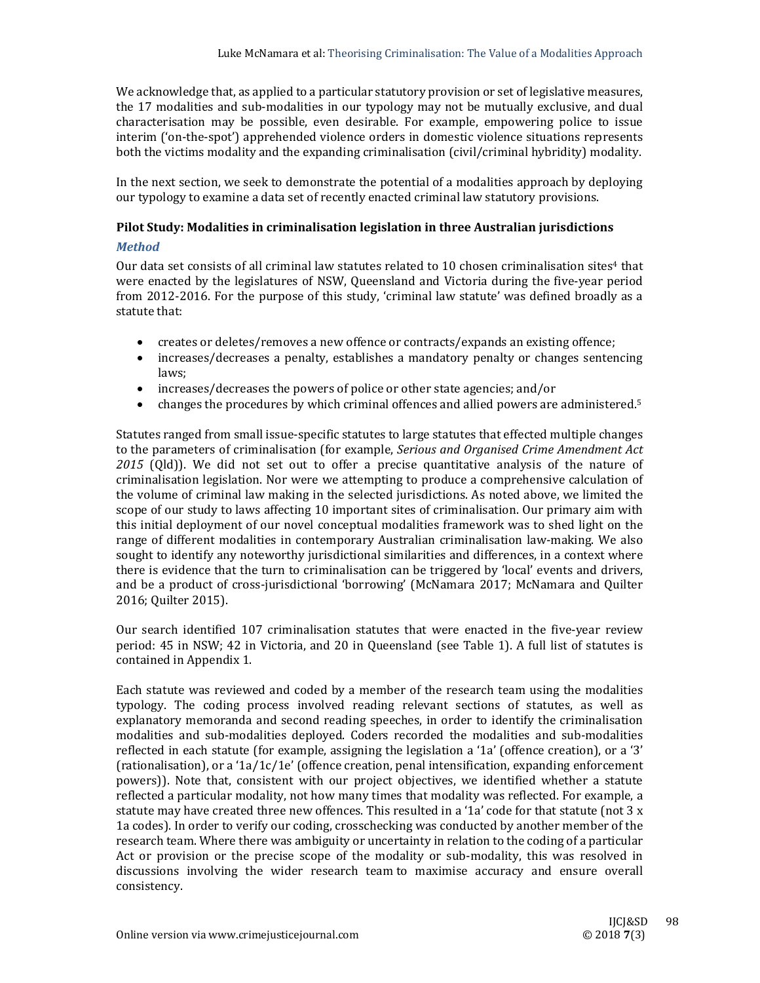We acknowledge that, as applied to a particular statutory provision or set of legislative measures, the 17 modalities and sub-modalities in our typology may not be mutually exclusive, and dual characterisation may be possible, even desirable. For example, empowering police to issue interim ('on-the-spot') apprehended violence orders in domestic violence situations represents both the victims modality and the expanding criminalisation (civil/criminal hybridity) modality.

In the next section, we seek to demonstrate the potential of a modalities approach by deploying our typology to examine a data set of recently enacted criminal law statutory provisions.

#### **Pilot Study: Modalities in criminalisation legislation in three Australian jurisdictions**

#### *Method*

Our data set consists of all criminal law statutes related to 10 chosen criminalisation sites<sup>4</sup> that were enacted by the legislatures of NSW, Queensland and Victoria during the five-year period from 2012-2016. For the purpose of this study, 'criminal law statute' was defined broadly as a statute that:

- creates or deletes/removes a new offence or contracts/expands an existing offence;
- increases/decreases a penalty, establishes a mandatory penalty or changes sentencing laws;
- increases/decreases the powers of police or other state agencies; and/or
- changes the procedures by which criminal offences and allied powers are administered.<sup>5</sup>

Statutes ranged from small issue-specific statutes to large statutes that effected multiple changes to the parameters of criminalisation (for example, *Serious and Organised Crime Amendment Act* 2015 (Qld)). We did not set out to offer a precise quantitative analysis of the nature of criminalisation legislation. Nor were we attempting to produce a comprehensive calculation of the volume of criminal law making in the selected jurisdictions. As noted above, we limited the scope of our study to laws affecting 10 important sites of criminalisation. Our primary aim with this initial deployment of our novel conceptual modalities framework was to shed light on the range of different modalities in contemporary Australian criminalisation law-making. We also sought to identify any noteworthy jurisdictional similarities and differences, in a context where there is evidence that the turn to criminalisation can be triggered by 'local' events and drivers, and be a product of cross-jurisdictional 'borrowing' (McNamara 2017; McNamara and Quilter 2016; Quilter 2015).

Our search identified 107 criminalisation statutes that were enacted in the five-year review period: 45 in NSW; 42 in Victoria, and 20 in Queensland (see Table 1). A full list of statutes is contained in Appendix 1.

Each statute was reviewed and coded by a member of the research team using the modalities typology. The coding process involved reading relevant sections of statutes, as well as explanatory memoranda and second reading speeches, in order to identify the criminalisation modalities and sub-modalities deployed. Coders recorded the modalities and sub-modalities reflected in each statute (for example, assigning the legislation a '1a' (offence creation), or a '3' (rationalisation), or a '1a/1c/1e' (offence creation, penal intensification, expanding enforcement powers)). Note that, consistent with our project objectives, we identified whether a statute reflected a particular modality, not how many times that modality was reflected. For example, a statute may have created three new offences. This resulted in a '1a' code for that statute (not  $3x$ 1a codes). In order to verify our coding, crosschecking was conducted by another member of the research team. Where there was ambiguity or uncertainty in relation to the coding of a particular Act or provision or the precise scope of the modality or sub-modality, this was resolved in discussions involving the wider research team to maximise accuracy and ensure overall consistency.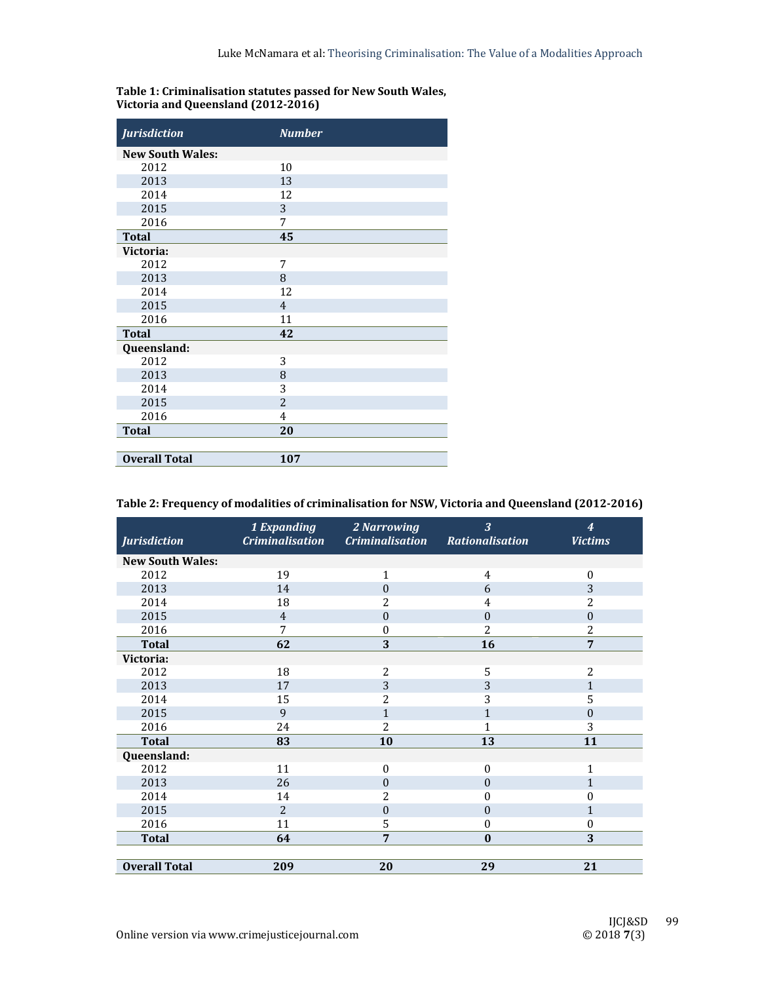| <b>Jurisdiction</b>     | <b>Number</b>  |
|-------------------------|----------------|
| <b>New South Wales:</b> |                |
| 2012                    | 10             |
| 2013                    | 13             |
| 2014                    | 12             |
| 2015                    | 3              |
| 2016                    | 7              |
| <b>Total</b>            | 45             |
| Victoria:               |                |
| 2012                    | 7              |
| 2013                    | 8              |
| 2014                    | 12             |
| 2015                    | $\overline{4}$ |
| 2016                    | 11             |
| <b>Total</b>            | 42             |
| Queensland:             |                |
| 2012                    | 3              |
| 2013                    | 8              |
| 2014                    | 3              |
| 2015                    | $\overline{2}$ |
| 2016                    | 4              |
| <b>Total</b>            | 20             |
|                         |                |
| <b>Overall Total</b>    | 107            |

## **Table 1: Criminalisation statutes passed for New South Wales, Victoria and Queensland (2012‐2016)**

| <b>Jurisdiction</b>     | 1 Expanding<br><b>Criminalisation</b> | 2 Narrowing<br><b>Criminalisation</b> | $\overline{3}$<br><b>Rationalisation</b> | $\overline{\boldsymbol{4}}$<br><b>Victims</b> |
|-------------------------|---------------------------------------|---------------------------------------|------------------------------------------|-----------------------------------------------|
| <b>New South Wales:</b> |                                       |                                       |                                          |                                               |
| 2012                    | 19                                    | $\mathbf{1}$                          | 4                                        | $\boldsymbol{0}$                              |
| 2013                    | 14                                    | $\theta$                              | 6                                        | 3                                             |
| 2014                    | 18                                    | 2                                     | $\overline{4}$                           | 2                                             |
| 2015                    | $\overline{4}$                        | $\overline{0}$                        | $\theta$                                 | $\boldsymbol{0}$                              |
| 2016                    | 7                                     | $\mathbf{0}$                          | 2                                        | 2                                             |
| <b>Total</b>            | 62                                    | 3                                     | 16                                       | 7                                             |
| Victoria:               |                                       |                                       |                                          |                                               |
| 2012                    | 18                                    | 2                                     | 5                                        | 2                                             |
| 2013                    | 17                                    | 3                                     | 3                                        | $\mathbf{1}$                                  |
| 2014                    | 15                                    | 2                                     | 3                                        | 5                                             |
| 2015                    | 9                                     | $\mathbf{1}$                          | $\mathbf{1}$                             | $\theta$                                      |
| 2016                    | 24                                    | $\overline{c}$                        | $\mathbf{1}$                             | 3                                             |
| <b>Total</b>            | 83                                    | 10                                    | 13                                       | 11                                            |
| Queensland:             |                                       |                                       |                                          |                                               |
| 2012                    | 11                                    | $\boldsymbol{0}$                      | $\mathbf{0}$                             | $\mathbf{1}$                                  |
| 2013                    | 26                                    | $\overline{0}$                        | $\theta$                                 | 1                                             |
| 2014                    | 14                                    | 2                                     | 0                                        | 0                                             |
| 2015                    | $\overline{2}$                        | $\mathbf{0}$                          | $\mathbf{0}$                             | $\mathbf{1}$                                  |
| 2016                    | 11                                    | 5                                     | $\mathbf{0}$                             | $\mathbf{0}$                                  |
| <b>Total</b>            | 64                                    | 7                                     | $\mathbf{0}$                             | 3                                             |
|                         |                                       |                                       |                                          |                                               |
| <b>Overall Total</b>    | 209                                   | 20                                    | 29                                       | 21                                            |

## **Table 2: Frequency of modalities of criminalisation for NSW, Victoria and Queensland (2012‐2016)**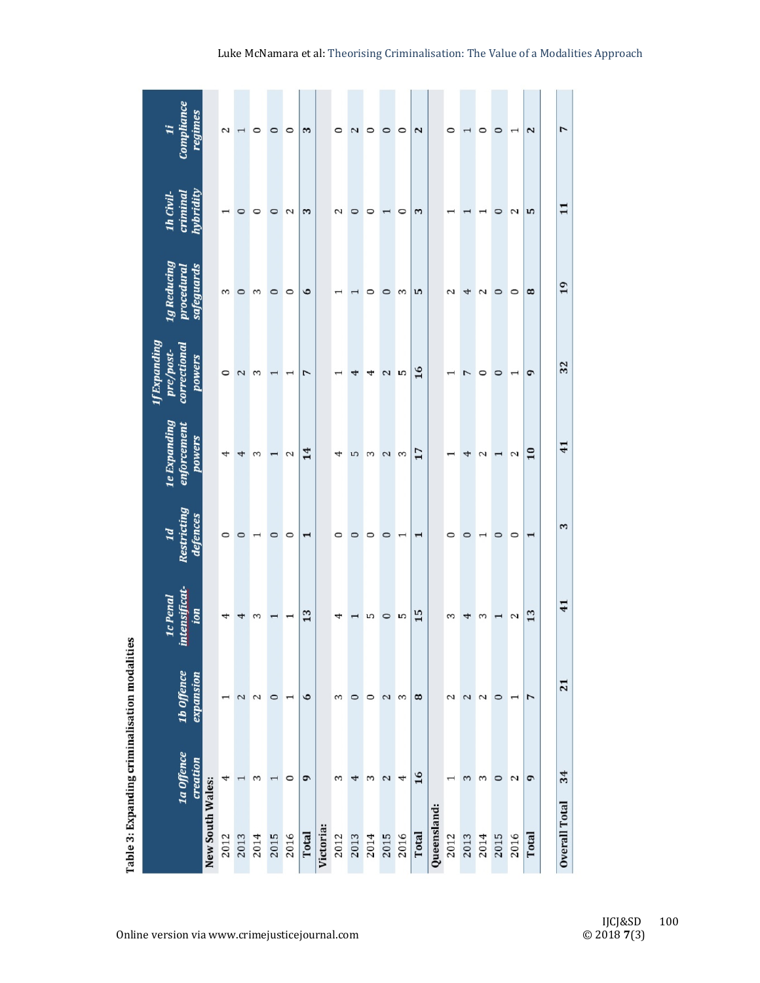|                                               | Compliance<br>regimes<br>$\ddot{u}$                 |                  | 2                        |         | $\circ$ | $\circ$ | $\circ$                  | 3            |           | $\circ$ | 2       | $\circ$ | $\circ$ | $\circ$        | 2     |             | $\circ$ |      | $\circ$ | $\circ$ |                          | 2                     | $\overline{1}$       |
|-----------------------------------------------|-----------------------------------------------------|------------------|--------------------------|---------|---------|---------|--------------------------|--------------|-----------|---------|---------|---------|---------|----------------|-------|-------------|---------|------|---------|---------|--------------------------|-----------------------|----------------------|
|                                               | hybridity<br>criminal<br>1h Civil-                  |                  |                          | $\circ$ | 0       | $\circ$ | $\mathbf{c}$             | 3            |           | 2       | 0       | $\circ$ |         | 0              | 3     |             |         |      |         | $\circ$ | 2                        | n                     | 11                   |
|                                               | 1g Reducing<br>safeguards<br>procedural             |                  | 3                        | $\circ$ | 3       | $\circ$ | $\circ$                  | $\bullet$    |           |         |         | 0       | $\circ$ | 3              | n     |             | 2       | 4    | 2       | $\circ$ | $\circ$                  | 8                     | 19                   |
|                                               | 1f Expanding<br>correctional<br>pre/post-<br>powers |                  | $\circ$                  | $\sim$  | S       |         |                          | 7            |           |         |         | 4       | 2       | S              | 16    |             |         |      | 0       | 0       |                          | G                     | 32                   |
|                                               | 1e Expanding<br>enforcement<br>powers               |                  | 4                        | 4       | 3       |         | 2                        | 14           |           | 4       | S       | 3       | 2       | 3              | 17    |             |         | 4    | 2       |         | 2                        | $\overline{10}$       | 41                   |
|                                               | Restricting<br>defences<br>1d                       |                  | $\circ$                  | $\circ$ |         | $\circ$ | $\circ$                  | $\mathbf{I}$ |           | 0       | 0       | 0       | $\circ$ | $\overline{ }$ | 1     |             |         | 0    |         | $\circ$ | $\circ$                  | $\mathbf{\mathbf{H}}$ | 3                    |
|                                               | intensificat-<br>1c Penal<br>ion                    |                  | 4                        | 4       | 3       |         |                          | 13           |           | 4       |         | LO      | $\circ$ | S              | 15    |             | 3       | 4    | 3       |         | 2                        | 13                    | 41                   |
|                                               | 1b Offence<br>expansion                             |                  | $\overline{\phantom{0}}$ | 2       | $\sim$  | $\circ$ | $\overline{\phantom{0}}$ | $\bullet$    |           | 3       | $\circ$ | $\circ$ | 2       | ε              | 8     |             | 2       | 2    | 2       | $\circ$ | $\overline{\phantom{0}}$ | 7                     | 21                   |
| Table 3: Expanding criminalisation modalities | 1a Offence<br>creation                              |                  | 4                        |         | 3       |         | $\circ$                  | $\sigma$     |           | ξ       | 4       | 3       | 2       | 4              | 16    |             |         | 3    | 3       | $\circ$ | 2                        | G                     | 34                   |
|                                               |                                                     | New South Wales: | 2012                     | 2013    | 2014    | 2015    | 2016                     | Total        | Victoria: | 2012    | 2013    | 2014    | 2015    | 2016           | Total | Queensland: | 2012    | 2013 | 2014    | 2015    | 2016                     | Total                 | <b>Overall Total</b> |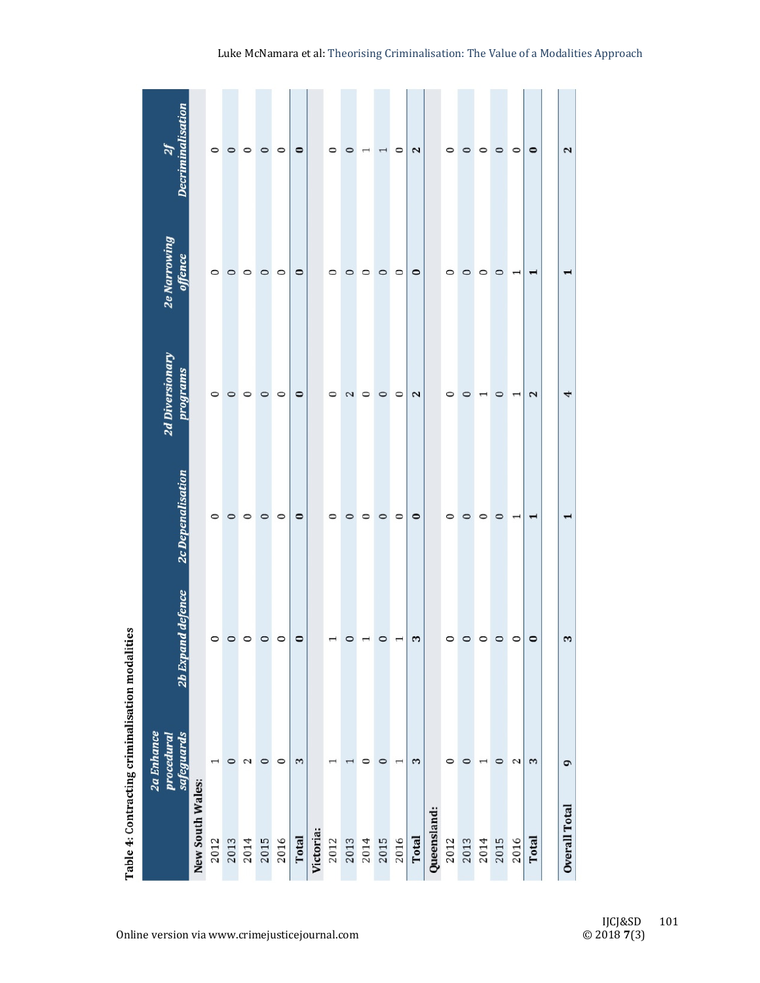|                                                 | $\overline{\mathcal{U}}$                      |                  | $\circ$ | $\circ$ | $\circ$ | $\circ$ | $\circ$ | $\bullet$ |           | $\circ$                           | $\circ$ | $\overline{\phantom{0}}$ | $\overline{\phantom{0}}$ | $\circ$                | 2         |             | 0       | $\circ$ | 0                        | $\circ$ | $\circ$                  | $\circ$ | 2                     |
|-------------------------------------------------|-----------------------------------------------|------------------|---------|---------|---------|---------|---------|-----------|-----------|-----------------------------------|---------|--------------------------|--------------------------|------------------------|-----------|-------------|---------|---------|--------------------------|---------|--------------------------|---------|-----------------------|
|                                                 | 2e Narrowing<br>offence                       |                  | 0       | $\circ$ | $\circ$ | $\circ$ | $\circ$ | $\circ$   |           | 0                                 | $\circ$ | 0                        | $\circ$                  | $\circ$                | $\circ$   |             | 0       | 0       | 0                        | $\circ$ | $\overline{\phantom{0}}$ | ↽       |                       |
|                                                 | 2d Diversionary<br>programs                   |                  | $\circ$ | $\circ$ | $\circ$ | $\circ$ | $\circ$ | $\circ$   |           | 0                                 | 2       | $\circ$                  | $\circ$                  | $\circ$                | 2         |             | 0       | $\circ$ | $\mathrel{\blacksquare}$ | $\circ$ | $\overline{\phantom{0}}$ | 2       | 4                     |
|                                                 | 2c Depenalisation                             |                  | $\circ$ | $\circ$ | $\circ$ | $\circ$ | $\circ$ | $\bullet$ |           | 0                                 | $\circ$ | 0                        | $\circ$                  | $\circ$                | $\bullet$ |             | 0       | $\circ$ | 0                        | $\circ$ | $\overline{\phantom{0}}$ |         |                       |
|                                                 | 2b Expand d                                   |                  | $\circ$ | $\circ$ | $\circ$ | $\circ$ | $\circ$ | $\circ$   |           |                                   | 0       |                          | $\circ$                  | $\mathbf{\overline{}}$ | 3         |             | $\circ$ | $\circ$ | $\circ$                  | $\circ$ | $\circ$                  | $\circ$ | $\boldsymbol{\omega}$ |
| Table 4: Contracting criminalisation modalities | <b>2a Enhance</b><br>safeguards<br>procedural |                  | 1       | $\circ$ | 2       | $\circ$ | $\circ$ | 3         |           | $\mathrel{\mathrel{\mathsf{--}}}$ | I       | $\circ$                  | $\circ$                  | $\overline{ }$         | 3         |             | $\circ$ | $\circ$ | $\overline{ }$           | $\circ$ | 2                        | 3       | G                     |
|                                                 |                                               | New South Wales: | 2012    | 2013    | 2014    | 2015    | 2016    | Total     | Victoria: | 2012                              | 2013    | 2014                     | 2015                     | 2016                   | Total     | Queensland: | 2012    | 2013    | 2014                     | 2015    | 2016                     | Total   | <b>Overall Total</b>  |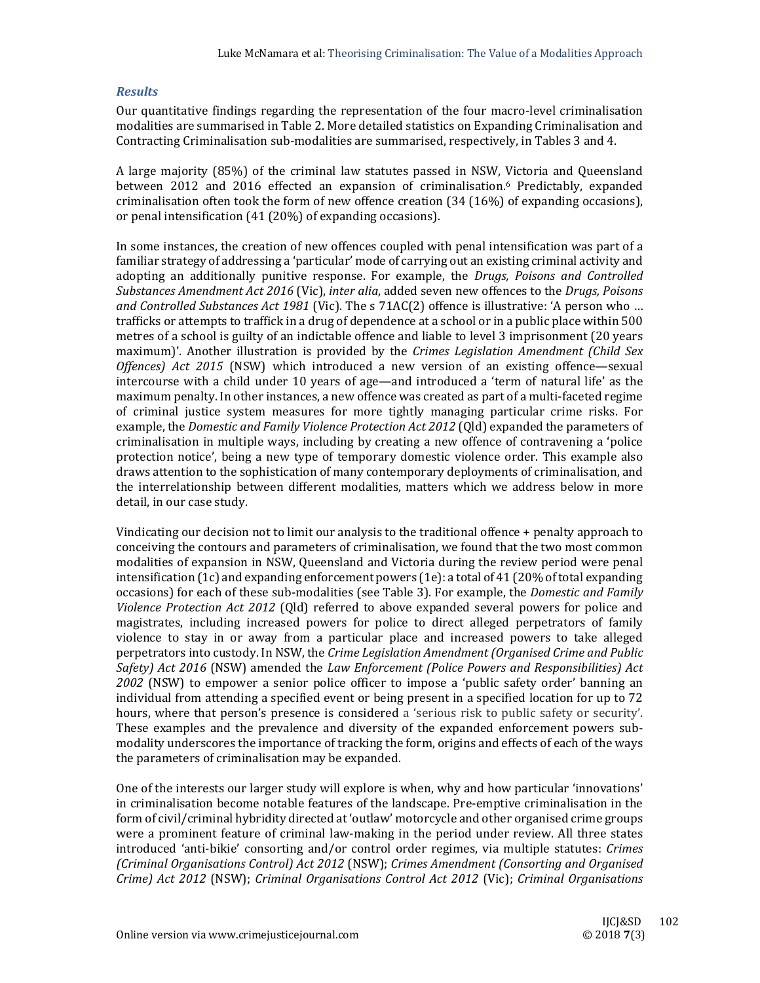#### *Results*

Our quantitative findings regarding the representation of the four macro-level criminalisation modalities are summarised in Table 2. More detailed statistics on Expanding Criminalisation and Contracting Criminalisation sub-modalities are summarised, respectively, in Tables 3 and 4.

A large majority (85%) of the criminal law statutes passed in NSW, Victoria and Queensland between 2012 and 2016 effected an expansion of criminalisation.<sup>6</sup> Predictably, expanded criminalisation often took the form of new offence creation  $(34 (16%))$  of expanding occasions), or penal intensification  $(41 (20%)$  of expanding occasions).

In some instances, the creation of new offences coupled with penal intensification was part of a familiar strategy of addressing a 'particular' mode of carrying out an existing criminal activity and adopting an additionally punitive response. For example, the *Drugs, Poisons and Controlled Substances Amendment Act 2016* (Vic), *inter alia*, added seven new offences to the *Drugs, Poisons and Controlled Substances Act 1981* (Vic). The s 71AC(2) offence is illustrative: 'A person who ... trafficks or attempts to traffick in a drug of dependence at a school or in a public place within 500 metres of a school is guilty of an indictable offence and liable to level 3 imprisonment (20 years maximum)'. Another illustration is provided by the *Crimes Legislation Amendment (Child Sex Offences*) *Act* 2015 (NSW) which introduced a new version of an existing offence—sexual intercourse with a child under 10 years of age—and introduced a 'term of natural life' as the maximum penalty. In other instances, a new offence was created as part of a multi-faceted regime of criminal justice system measures for more tightly managing particular crime risks. For example, the *Domestic and Family Violence Protection Act* 2012 (Qld) expanded the parameters of criminalisation in multiple ways, including by creating a new offence of contravening a 'police protection notice', being a new type of temporary domestic violence order. This example also draws attention to the sophistication of many contemporary deployments of criminalisation, and the interrelationship between different modalities, matters which we address below in more detail, in our case study.

Vindicating our decision not to limit our analysis to the traditional offence  $+$  penalty approach to conceiving the contours and parameters of criminalisation, we found that the two most common modalities of expansion in NSW, Queensland and Victoria during the review period were penal intensification  $(1c)$  and expanding enforcement powers  $(1e)$ : a total of 41 (20% of total expanding occasions) for each of these sub-modalities (see Table 3). For example, the *Domestic and Family Violence Protection Act 2012* (Qld) referred to above expanded several powers for police and magistrates, including increased powers for police to direct alleged perpetrators of family violence to stay in or away from a particular place and increased powers to take alleged perpetrators into custody. In NSW, the *Crime Legislation Amendment (Organised Crime and Public Safety) Act 2016* (NSW) amended the *Law Enforcement (Police Powers and Responsibilities) Act* 2002 (NSW) to empower a senior police officer to impose a 'public safety order' banning an individual from attending a specified event or being present in a specified location for up to 72 hours, where that person's presence is considered a 'serious risk to public safety or security'. These examples and the prevalence and diversity of the expanded enforcement powers submodality underscores the importance of tracking the form, origins and effects of each of the ways the parameters of criminalisation may be expanded.

One of the interests our larger study will explore is when, why and how particular 'innovations' in criminalisation become notable features of the landscape. Pre-emptive criminalisation in the form of civil/criminal hybridity directed at 'outlaw' motorcycle and other organised crime groups were a prominent feature of criminal law-making in the period under review. All three states introduced 'anti‐bikie' consorting and/or control order regimes, via multiple statutes: *Crimes (Criminal Organisations Control) Act 2012* (NSW); *Crimes Amendment (Consorting and Organised Crime) Act 2012* (NSW); *Criminal Organisations Control Act 2012* (Vic); *Criminal Organisations*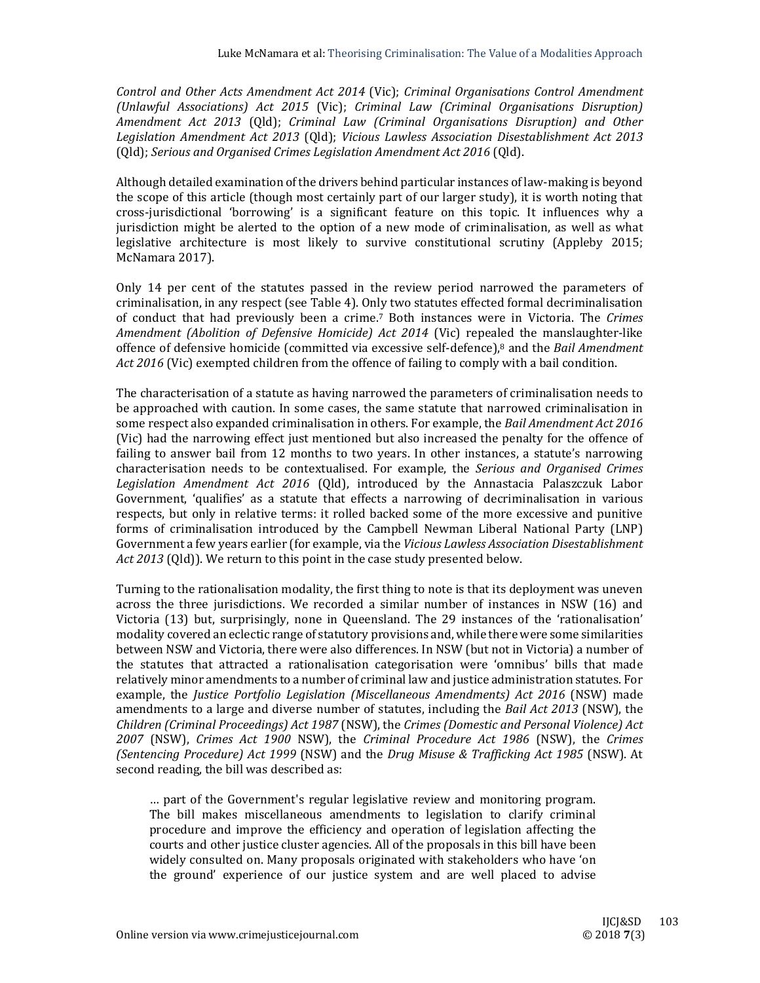*Control and Other Acts Amendment Act 2014* (Vic); *Criminal Organisations Control Amendment (Unlawful Associations) Act 2015* (Vic); *Criminal Law (Criminal Organisations Disruption) Amendment Act 2013* (Qld); *Criminal Law (Criminal Organisations Disruption) and Other Legislation Amendment Act 2013* (Qld); *Vicious Lawless Association Disestablishment Act 2013* (Qld); *Serious and Organised Crimes Legislation Amendment Act 2016* (Qld). 

Although detailed examination of the drivers behind particular instances of law-making is beyond the scope of this article (though most certainly part of our larger study), it is worth noting that cross-jurisdictional 'borrowing' is a significant feature on this topic. It influences why a jurisdiction might be alerted to the option of a new mode of criminalisation, as well as what legislative architecture is most likely to survive constitutional scrutiny (Appleby  $2015$ ; McNamara 2017).

Only 14 per cent of the statutes passed in the review period narrowed the parameters of criminalisation, in any respect (see Table 4). Only two statutes effected formal decriminalisation of conduct that had previously been a crime.<sup>7</sup> Both instances were in Victoria. The *Crimes Amendment (Abolition of Defensive Homicide) Act 2014* (Vic) repealed the manslaughter‐like offence of defensive homicide (committed via excessive self‐defence),8 and the *Bail Amendment Act* 2016 (Vic) exempted children from the offence of failing to comply with a bail condition.

The characterisation of a statute as having narrowed the parameters of criminalisation needs to be approached with caution. In some cases, the same statute that narrowed criminalisation in some respect also expanded criminalisation in others. For example, the *Bail Amendment Act* 2016 (Vic) had the narrowing effect just mentioned but also increased the penalty for the offence of failing to answer bail from 12 months to two years. In other instances, a statute's narrowing characterisation needs to be contextualised. For example, the *Serious and Organised Crimes Legislation Amendment Act 2016* (Qld), introduced by the Annastacia Palaszczuk Labor Government, 'qualifies' as a statute that effects a narrowing of decriminalisation in various respects, but only in relative terms: it rolled backed some of the more excessive and punitive forms of criminalisation introduced by the Campbell Newman Liberal National Party (LNP) Government a few years earlier (for example, via the *Vicious Lawless Association Disestablishment Act* 2013 (Qld)). We return to this point in the case study presented below.

Turning to the rationalisation modality, the first thing to note is that its deployment was uneven across the three jurisdictions. We recorded a similar number of instances in NSW (16) and Victoria (13) but, surprisingly, none in Queensland. The 29 instances of the 'rationalisation' modality covered an eclectic range of statutory provisions and, while there were some similarities between NSW and Victoria, there were also differences. In NSW (but not in Victoria) a number of the statutes that attracted a rationalisation categorisation were 'omnibus' bills that made relatively minor amendments to a number of criminal law and justice administration statutes. For example, the *Justice Portfolio Legislation (Miscellaneous Amendments) Act 2016* (NSW) made amendments to a large and diverse number of statutes, including the *Bail Act* 2013 (NSW), the *Children (Criminal Proceedings) Act 1987* (NSW), the *Crimes (Domestic and Personal Violence) Act 2007* (NSW), *Crimes Act 1900* NSW), the *Criminal Procedure Act 1986* (NSW), the *Crimes (Sentencing Procedure) Act 1999* (NSW) and the *Drug Misuse & Trafficking Act 1985* (NSW). At second reading, the bill was described as:

... part of the Government's regular legislative review and monitoring program. The bill makes miscellaneous amendments to legislation to clarify criminal procedure and improve the efficiency and operation of legislation affecting the courts and other justice cluster agencies. All of the proposals in this bill have been widely consulted on. Many proposals originated with stakeholders who have 'on the ground' experience of our justice system and are well placed to advise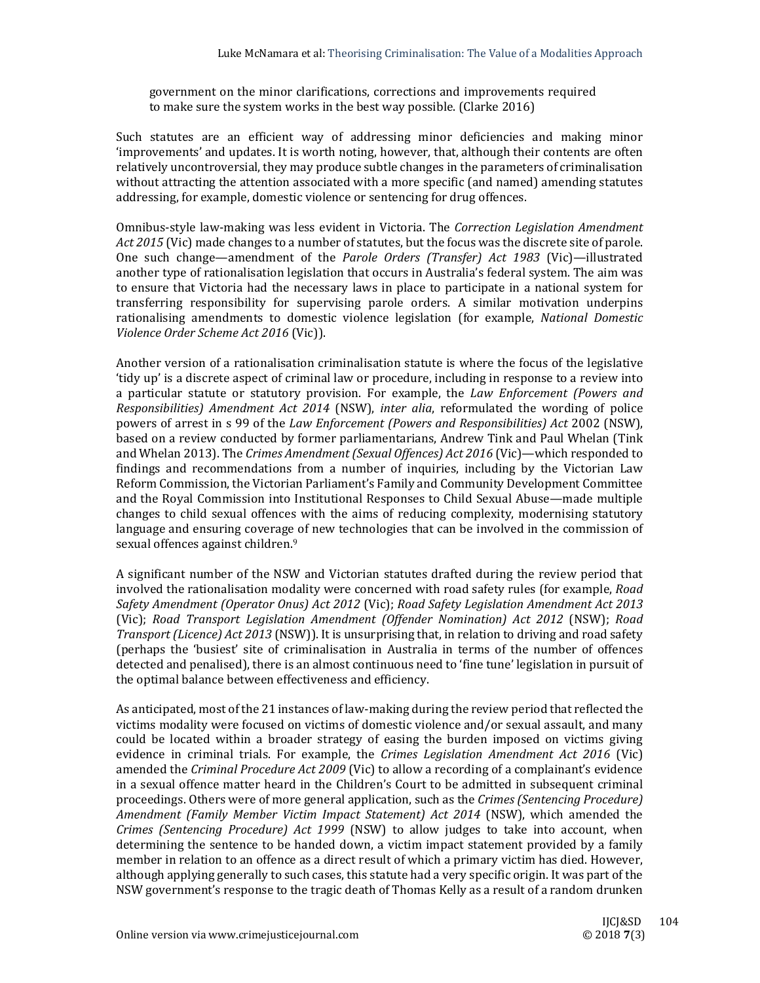government on the minor clarifications, corrections and improvements required to make sure the system works in the best way possible. (Clarke 2016)

Such statutes are an efficient way of addressing minor deficiencies and making minor 'improvements' and updates. It is worth noting, however, that, although their contents are often relatively uncontroversial, they may produce subtle changes in the parameters of criminalisation without attracting the attention associated with a more specific (and named) amending statutes addressing, for example, domestic violence or sentencing for drug offences.

Omnibus‐style law‐making was less evident in Victoria. The *Correction Legislation Amendment Act* 2015 (Vic) made changes to a number of statutes, but the focus was the discrete site of parole. One such change—amendment of the *Parole Orders (Transfer) Act 1983* (Vic)—illustrated another type of rationalisation legislation that occurs in Australia's federal system. The aim was to ensure that Victoria had the necessary laws in place to participate in a national system for transferring responsibility for supervising parole orders. A similar motivation underpins rationalising amendments to domestic violence legislation (for example, *National Domestic Violence Order Scheme Act 2016* (Vic)). 

Another version of a rationalisation criminalisation statute is where the focus of the legislative 'tidy up' is a discrete aspect of criminal law or procedure, including in response to a review into a particular statute or statutory provision. For example, the *Law Enforcement (Powers and Responsibilities) Amendment Act 2014* (NSW), *inter alia*, reformulated the wording of police powers of arrest in s 99 of the *Law Enforcement (Powers and Responsibilities) Act* 2002 (NSW), based on a review conducted by former parliamentarians, Andrew Tink and Paul Whelan (Tink and Whelan 2013). The *Crimes Amendment (Sexual Offences) Act 2016* (Vic)—which responded to findings and recommendations from a number of inquiries, including by the Victorian Law Reform Commission, the Victorian Parliament's Family and Community Development Committee and the Royal Commission into Institutional Responses to Child Sexual Abuse—made multiple changes to child sexual offences with the aims of reducing complexity, modernising statutory language and ensuring coverage of new technologies that can be involved in the commission of sexual offences against children.<sup>9</sup>

A significant number of the NSW and Victorian statutes drafted during the review period that involved the rationalisation modality were concerned with road safety rules (for example, *Road Safety Amendment (Operator Onus) Act 2012* (Vic); *Road Safety Legislation Amendment Act 2013* (Vic); *Road Transport Legislation Amendment (Offender Nomination) Act 2012* (NSW); *Road Transport (Licence) Act* 2013 (NSW)). It is unsurprising that, in relation to driving and road safety (perhaps the 'busiest' site of criminalisation in Australia in terms of the number of offences detected and penalised), there is an almost continuous need to 'fine tune' legislation in pursuit of the optimal balance between effectiveness and efficiency.

As anticipated, most of the 21 instances of law-making during the review period that reflected the victims modality were focused on victims of domestic violence and/or sexual assault, and many could be located within a broader strategy of easing the burden imposed on victims giving evidence in criminal trials. For example, the *Crimes Legislation Amendment Act* 2016 (Vic) amended the *Criminal Procedure Act 2009* (Vic) to allow a recording of a complainant's evidence in a sexual offence matter heard in the Children's Court to be admitted in subsequent criminal proceedings. Others were of more general application, such as the *Crimes (Sentencing Procedure) Amendment (Family Member Victim Impact Statement) Act 2014* (NSW), which amended the *Crimes (Sentencing Procedure) Act 1999* (NSW) to allow judges to take into account, when determining the sentence to be handed down, a victim impact statement provided by a family member in relation to an offence as a direct result of which a primary victim has died. However, although applying generally to such cases, this statute had a very specific origin. It was part of the NSW government's response to the tragic death of Thomas Kelly as a result of a random drunken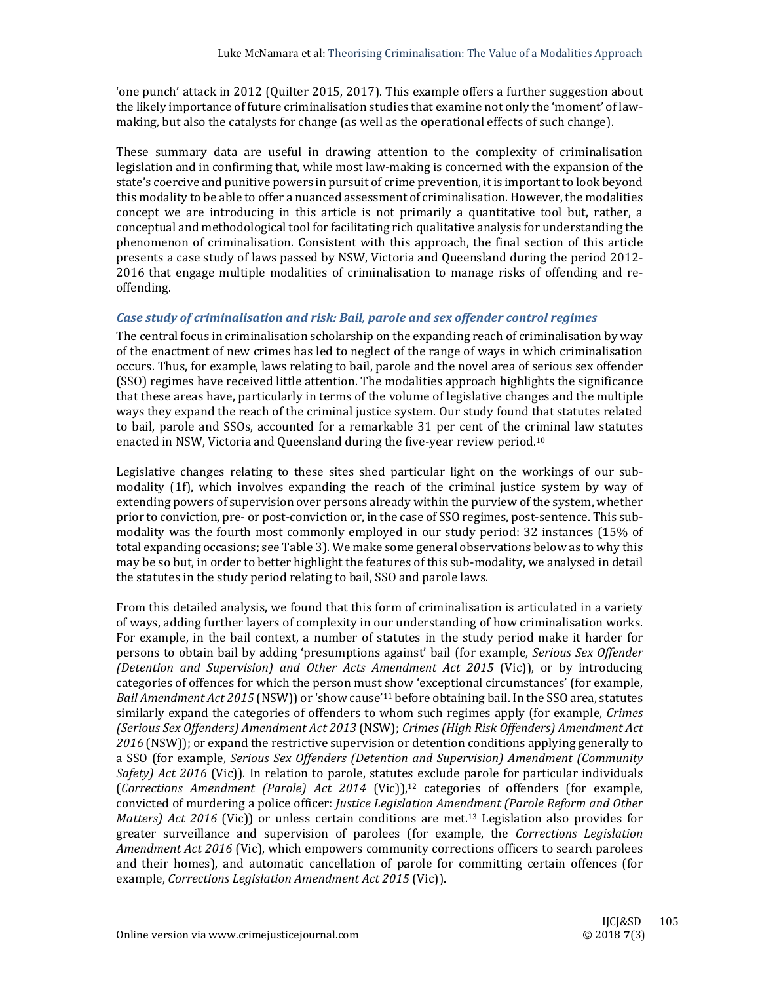'one punch' attack in 2012 (Quilter 2015, 2017). This example offers a further suggestion about the likely importance of future criminalisation studies that examine not only the 'moment' of lawmaking, but also the catalysts for change (as well as the operational effects of such change).

These summary data are useful in drawing attention to the complexity of criminalisation legislation and in confirming that, while most law-making is concerned with the expansion of the state's coercive and punitive powers in pursuit of crime prevention, it is important to look beyond this modality to be able to offer a nuanced assessment of criminalisation. However, the modalities concept we are introducing in this article is not primarily a quantitative tool but, rather, a conceptual and methodological tool for facilitating rich qualitative analysis for understanding the phenomenon of criminalisation. Consistent with this approach, the final section of this article presents a case study of laws passed by NSW, Victoria and Queensland during the period 2012-2016 that engage multiple modalities of criminalisation to manage risks of offending and reoffending. 

## *Case study of criminalisation and risk: Bail, parole and sex offender control regimes*

The central focus in criminalisation scholarship on the expanding reach of criminalisation by way of the enactment of new crimes has led to neglect of the range of ways in which criminalisation occurs. Thus, for example, laws relating to bail, parole and the novel area of serious sex offender (SSO) regimes have received little attention. The modalities approach highlights the significance that these areas have, particularly in terms of the volume of legislative changes and the multiple ways they expand the reach of the criminal justice system. Our study found that statutes related to bail, parole and SSOs, accounted for a remarkable 31 per cent of the criminal law statutes enacted in NSW, Victoria and Queensland during the five-year review period.<sup>10</sup>

Legislative changes relating to these sites shed particular light on the workings of our submodality  $(1f)$ , which involves expanding the reach of the criminal justice system by way of extending powers of supervision over persons already within the purview of the system, whether prior to conviction, pre- or post-conviction or, in the case of SSO regimes, post-sentence. This submodality was the fourth most commonly employed in our study period: 32 instances (15% of total expanding occasions; see Table 3). We make some general observations below as to why this may be so but, in order to better highlight the features of this sub-modality, we analysed in detail the statutes in the study period relating to bail, SSO and parole laws.

From this detailed analysis, we found that this form of criminalisation is articulated in a variety of ways, adding further layers of complexity in our understanding of how criminalisation works. For example, in the bail context, a number of statutes in the study period make it harder for persons to obtain bail by adding 'presumptions against' bail (for example, *Serious Sex Offender (Detention and Supervision) and Other Acts Amendment Act 2015* (Vic)), or by introducing categories of offences for which the person must show 'exceptional circumstances' (for example, *Bail Amendment Act 2015* (NSW)) or 'show cause'<sup>11</sup> before obtaining bail. In the SSO area, statutes similarly expand the categories of offenders to whom such regimes apply (for example, *Crimes (Serious Sex Offenders) Amendment Act 2013* (NSW); *Crimes (High Risk Offenders) Amendment Act* 2016 (NSW)); or expand the restrictive supervision or detention conditions applying generally to a SSO (for example, *Serious Sex Offenders (Detention and Supervision) Amendment (Community Safety*) *Act* 2016 (Vic)). In relation to parole, statutes exclude parole for particular individuals (*Corrections Amendment (Parole) Act 2014* (Vic)),12 categories of offenders (for example, convicted of murdering a police officer: *Justice Legislation Amendment (Parole Reform and Other Matters) Act* 2016 (Vic)) or unless certain conditions are met.<sup>13</sup> Legislation also provides for greater surveillance and supervision of parolees (for example, the *Corrections Legislation Amendment Act 2016* (Vic), which empowers community corrections officers to search parolees and their homes), and automatic cancellation of parole for committing certain offences (for example, *Corrections Legislation Amendment Act 2015* (Vic)).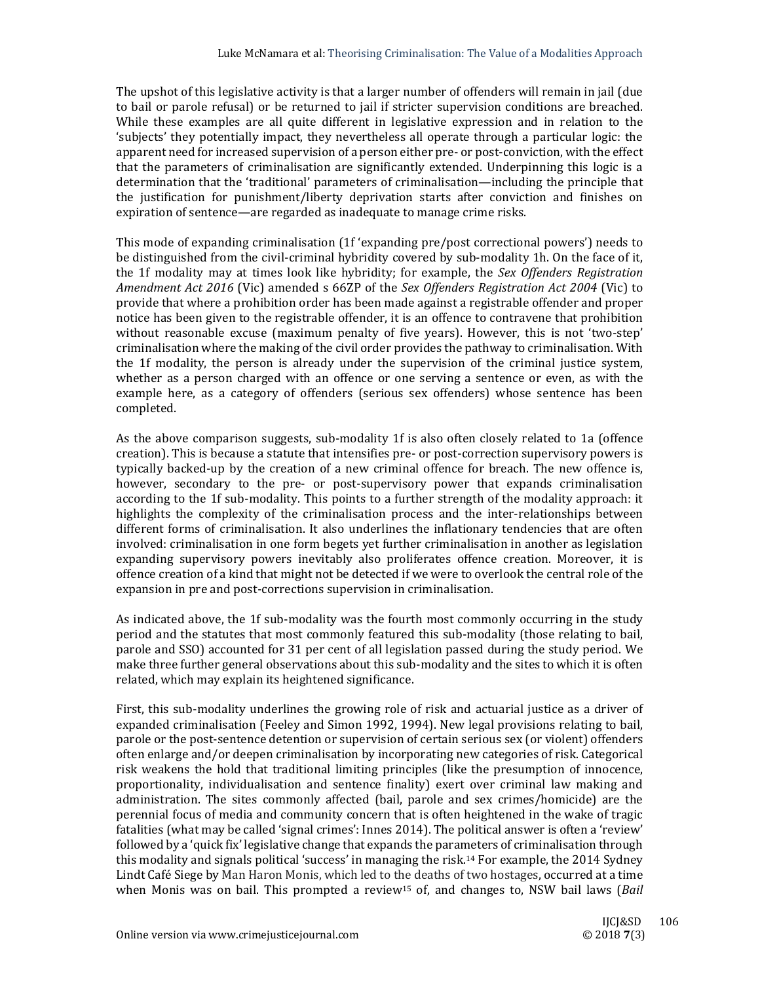The upshot of this legislative activity is that a larger number of offenders will remain in jail (due to bail or parole refusal) or be returned to jail if stricter supervision conditions are breached. While these examples are all quite different in legislative expression and in relation to the 'subjects' they potentially impact, they nevertheless all operate through a particular logic: the apparent need for increased supervision of a person either pre- or post-conviction, with the effect that the parameters of criminalisation are significantly extended. Underpinning this logic is a determination that the 'traditional' parameters of criminalisation—including the principle that the justification for punishment/liberty deprivation starts after conviction and finishes on expiration of sentence—are regarded as inadequate to manage crime risks.

This mode of expanding criminalisation (1f 'expanding pre/post correctional powers') needs to be distinguished from the civil-criminal hybridity covered by sub-modality 1h. On the face of it, the 1f modality may at times look like hybridity; for example, the Sex Offenders Registration *Amendment Act 2016* (Vic) amended s 66ZP of the *Sex Offenders Registration Act 2004* (Vic) to provide that where a prohibition order has been made against a registrable offender and proper notice has been given to the registrable offender, it is an offence to contravene that prohibition without reasonable excuse (maximum penalty of five years). However, this is not 'two-step' criminalisation where the making of the civil order provides the pathway to criminalisation. With the 1f modality, the person is already under the supervision of the criminal justice system, whether as a person charged with an offence or one serving a sentence or even, as with the example here, as a category of offenders (serious sex offenders) whose sentence has been completed. 

As the above comparison suggests, sub-modality 1f is also often closely related to 1a (offence creation). This is because a statute that intensifies pre- or post-correction supervisory powers is typically backed-up by the creation of a new criminal offence for breach. The new offence is, however, secondary to the pre- or post-supervisory power that expands criminalisation according to the 1f sub-modality. This points to a further strength of the modality approach: it highlights the complexity of the criminalisation process and the inter-relationships between different forms of criminalisation. It also underlines the inflationary tendencies that are often involved: criminalisation in one form begets yet further criminalisation in another as legislation expanding supervisory powers inevitably also proliferates offence creation. Moreover, it is offence creation of a kind that might not be detected if we were to overlook the central role of the expansion in pre and post-corrections supervision in criminalisation.

As indicated above, the 1f sub-modality was the fourth most commonly occurring in the study period and the statutes that most commonly featured this sub-modality (those relating to bail, parole and SSO) accounted for 31 per cent of all legislation passed during the study period. We make three further general observations about this sub-modality and the sites to which it is often related, which may explain its heightened significance.

First, this sub-modality underlines the growing role of risk and actuarial justice as a driver of expanded criminalisation (Feeley and Simon 1992, 1994). New legal provisions relating to bail, parole or the post-sentence detention or supervision of certain serious sex (or violent) offenders often enlarge and/or deepen criminalisation by incorporating new categories of risk. Categorical risk weakens the hold that traditional limiting principles (like the presumption of innocence, proportionality, individualisation and sentence finality) exert over criminal law making and administration. The sites commonly affected (bail, parole and sex crimes/homicide) are the perennial focus of media and community concern that is often heightened in the wake of tragic fatalities (what may be called 'signal crimes': Innes 2014). The political answer is often a 'review' followed by a 'quick fix' legislative change that expands the parameters of criminalisation through this modality and signals political 'success' in managing the risk.<sup>14</sup> For example, the 2014 Sydney Lindt Café Siege by Man Haron Monis, which led to the deaths of two hostages, occurred at a time when Monis was on bail. This prompted a review<sup>15</sup> of, and changes to, NSW bail laws (*Bail*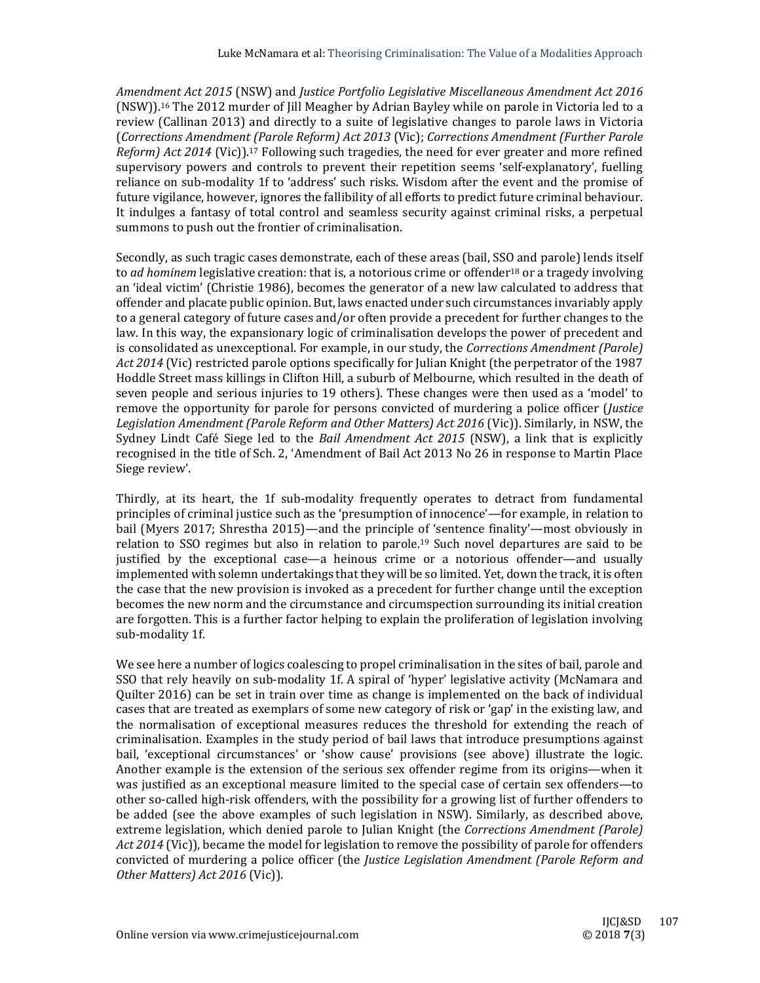*Amendment Act 2015* (NSW) and *Justice Portfolio Legislative Miscellaneous Amendment Act 2016* (NSW)).<sup>16</sup> The 2012 murder of Jill Meagher by Adrian Bayley while on parole in Victoria led to a review (Callinan 2013) and directly to a suite of legislative changes to parole laws in Victoria (*Corrections Amendment (Parole Reform) Act 2013* (Vic); *Corrections Amendment (Further Parole Reform) Act* 2014 (Vic)).<sup>17</sup> Following such tragedies, the need for ever greater and more refined supervisory powers and controls to prevent their repetition seems 'self-explanatory', fuelling reliance on sub-modality 1f to 'address' such risks. Wisdom after the event and the promise of future vigilance, however, ignores the fallibility of all efforts to predict future criminal behaviour. It indulges a fantasy of total control and seamless security against criminal risks, a perpetual summons to push out the frontier of criminalisation.

Secondly, as such tragic cases demonstrate, each of these areas (bail, SSO and parole) lends itself to *ad hominem* legislative creation: that is, a notorious crime or offender<sup>18</sup> or a tragedy involving an 'ideal victim' (Christie 1986), becomes the generator of a new law calculated to address that offender and placate public opinion. But, laws enacted under such circumstances invariably apply to a general category of future cases and/or often provide a precedent for further changes to the law. In this way, the expansionary logic of criminalisation develops the power of precedent and is consolidated as unexceptional. For example, in our study, the *Corrections Amendment* (Parole) Act 2014 (Vic) restricted parole options specifically for Julian Knight (the perpetrator of the 1987 Hoddle Street mass killings in Clifton Hill, a suburb of Melbourne, which resulted in the death of seven people and serious injuries to 19 others). These changes were then used as a 'model' to remove the opportunity for parole for persons convicted of murdering a police officer (*Justice Legislation Amendment (Parole Reform and Other Matters) Act 2016* (Vic)). Similarly, in NSW, the Sydney Lindt Café Siege led to the *Bail Amendment Act 2015* (NSW), a link that is explicitly recognised in the title of Sch. 2, 'Amendment of Bail Act 2013 No 26 in response to Martin Place Siege review'.

Thirdly, at its heart, the 1f sub-modality frequently operates to detract from fundamental principles of criminal justice such as the 'presumption of innocence'—for example, in relation to bail (Myers 2017; Shrestha 2015)—and the principle of 'sentence finality'—most obviously in relation to SSO regimes but also in relation to parole.<sup>19</sup> Such novel departures are said to be justified by the exceptional case—a heinous crime or a notorious offender—and usually implemented with solemn undertakings that they will be so limited. Yet, down the track, it is often the case that the new provision is invoked as a precedent for further change until the exception becomes the new norm and the circumstance and circumspection surrounding its initial creation are forgotten. This is a further factor helping to explain the proliferation of legislation involving sub-modality 1f.

We see here a number of logics coalescing to propel criminalisation in the sites of bail, parole and SSO that rely heavily on sub-modality 1f. A spiral of 'hyper' legislative activity (McNamara and Ouilter 2016) can be set in train over time as change is implemented on the back of individual cases that are treated as exemplars of some new category of risk or 'gap' in the existing law, and the normalisation of exceptional measures reduces the threshold for extending the reach of criminalisation. Examples in the study period of bail laws that introduce presumptions against bail, 'exceptional circumstances' or 'show cause' provisions (see above) illustrate the logic. Another example is the extension of the serious sex offender regime from its origins—when it was justified as an exceptional measure limited to the special case of certain sex offenders—to other so-called high-risk offenders, with the possibility for a growing list of further offenders to be added (see the above examples of such legislation in NSW). Similarly, as described above, extreme legislation, which denied parole to Julian Knight (the *Corrections Amendment (Parole) Act* 2014 (Vic)), became the model for legislation to remove the possibility of parole for offenders convicted of murdering a police officer (the *Justice Legislation Amendment (Parole Reform and Other Matters) Act 2016* (Vic)).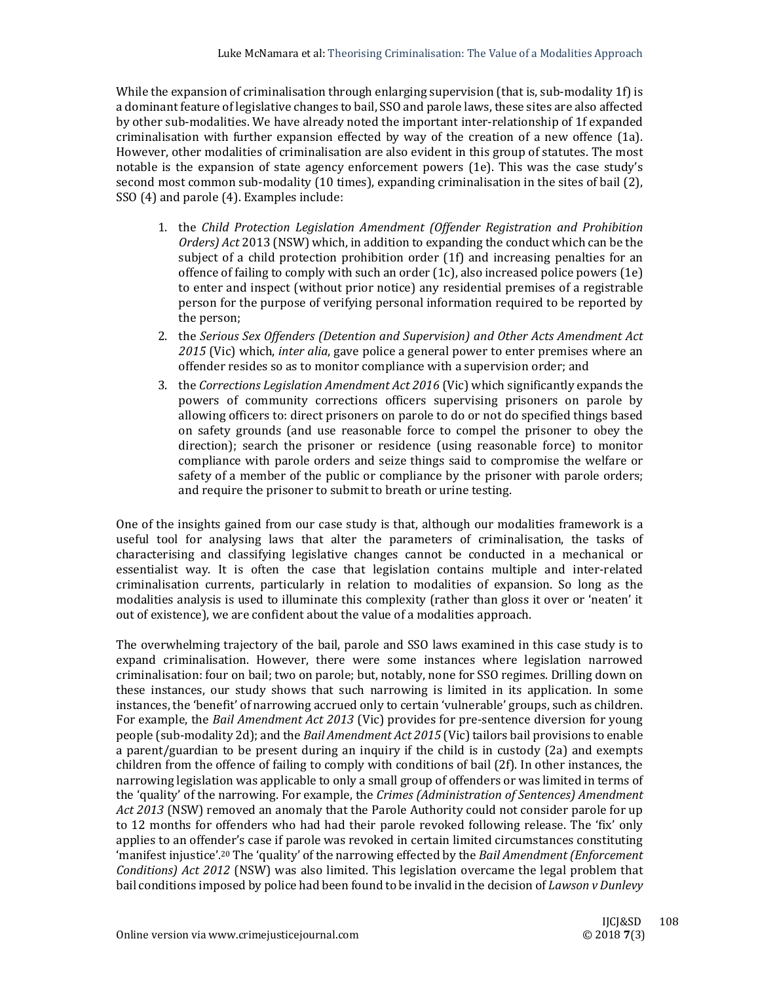While the expansion of criminalisation through enlarging supervision (that is, sub-modality 1f) is a dominant feature of legislative changes to bail, SSO and parole laws, these sites are also affected by other sub-modalities. We have already noted the important inter-relationship of 1f expanded criminalisation with further expansion effected by way of the creation of a new offence  $(1a)$ . However, other modalities of criminalisation are also evident in this group of statutes. The most notable is the expansion of state agency enforcement powers  $(1e)$ . This was the case study's second most common sub-modality (10 times), expanding criminalisation in the sites of bail (2), SSO (4) and parole (4). Examples include:

- 1. the *Child Protection Legislation Amendment (Offender Registration and Prohibition Orders*) *Act* 2013 (NSW) which, in addition to expanding the conduct which can be the subject of a child protection prohibition order  $(1f)$  and increasing penalties for an offence of failing to comply with such an order  $(1c)$ , also increased police powers  $(1e)$ to enter and inspect (without prior notice) any residential premises of a registrable person for the purpose of verifying personal information required to be reported by the person;
- 2. the *Serious Sex Offenders (Detention and Supervision) and Other Acts Amendment Act* 2015<sup></sup> (Vic) which, *inter alia*, gave police a general power to enter premises where an offender resides so as to monitor compliance with a supervision order; and
- 3. the *Corrections Legislation Amendment Act 2016* (Vic) which significantly expands the powers of community corrections officers supervising prisoners on parole by allowing officers to: direct prisoners on parole to do or not do specified things based on safety grounds (and use reasonable force to compel the prisoner to obey the direction); search the prisoner or residence (using reasonable force) to monitor compliance with parole orders and seize things said to compromise the welfare or safety of a member of the public or compliance by the prisoner with parole orders; and require the prisoner to submit to breath or urine testing.

One of the insights gained from our case study is that, although our modalities framework is a useful tool for analysing laws that alter the parameters of criminalisation, the tasks of characterising and classifying legislative changes cannot be conducted in a mechanical or essentialist way. It is often the case that legislation contains multiple and inter-related criminalisation currents, particularly in relation to modalities of expansion. So long as the modalities analysis is used to illuminate this complexity (rather than gloss it over or 'neaten' it out of existence), we are confident about the value of a modalities approach.

The overwhelming trajectory of the bail, parole and SSO laws examined in this case study is to expand criminalisation. However, there were some instances where legislation narrowed criminalisation: four on bail; two on parole; but, notably, none for SSO regimes. Drilling down on these instances, our study shows that such narrowing is limited in its application. In some instances, the 'benefit' of narrowing accrued only to certain 'vulnerable' groups, such as children. For example, the *Bail Amendment Act 2013* (Vic) provides for pre-sentence diversion for young people (sub-modality 2d); and the *Bail Amendment Act 2015* (Vic) tailors bail provisions to enable a parent/guardian to be present during an inquiry if the child is in custody  $(2a)$  and exempts children from the offence of failing to comply with conditions of bail (2f). In other instances, the narrowing legislation was applicable to only a small group of offenders or was limited in terms of the 'quality' of the narrowing. For example, the *Crimes (Administration of Sentences) Amendment* Act 2013 (NSW) removed an anomaly that the Parole Authority could not consider parole for up to 12 months for offenders who had had their parole revoked following release. The 'fix' only applies to an offender's case if parole was revoked in certain limited circumstances constituting 'manifest injustice'.<sup>20</sup> The 'quality' of the narrowing effected by the *Bail Amendment (Enforcement*) *Conditions) Act* 2012 (NSW) was also limited. This legislation overcame the legal problem that bail conditions imposed by police had been found to be invalid in the decision of *Lawson v Dunlevy*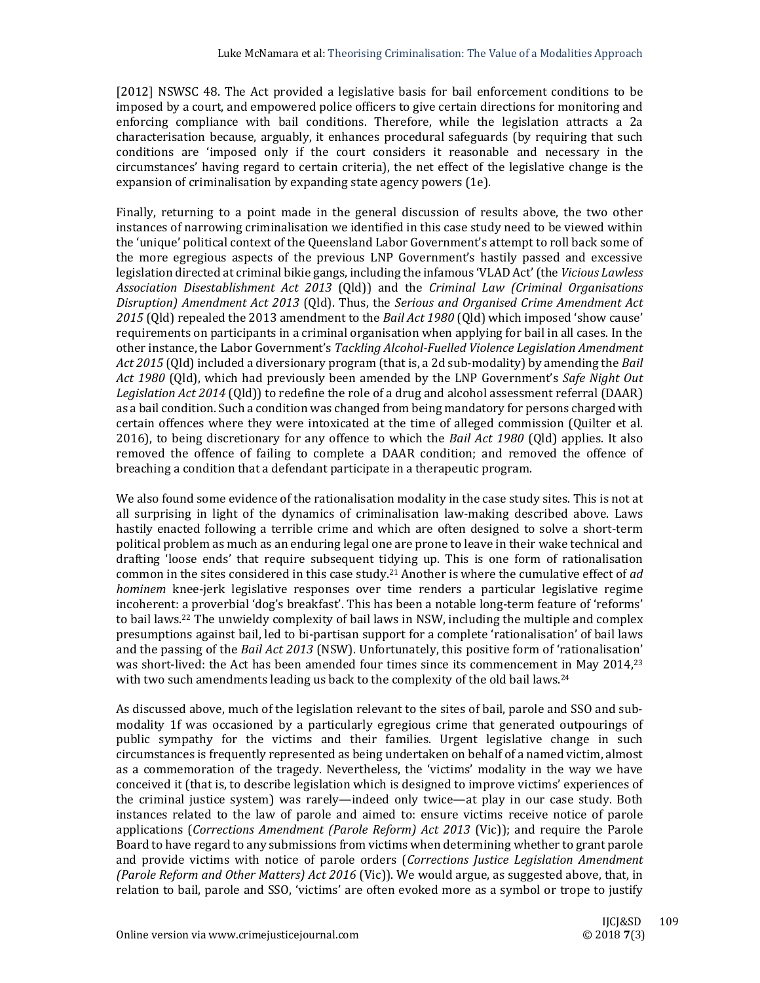[2012] NSWSC 48. The Act provided a legislative basis for bail enforcement conditions to be imposed by a court, and empowered police officers to give certain directions for monitoring and enforcing compliance with bail conditions. Therefore, while the legislation attracts a 2a characterisation because, arguably, it enhances procedural safeguards (by requiring that such conditions are 'imposed only if the court considers it reasonable and necessary in the circumstances' having regard to certain criteria), the net effect of the legislative change is the expansion of criminalisation by expanding state agency powers (1e).

Finally, returning to a point made in the general discussion of results above, the two other instances of narrowing criminalisation we identified in this case study need to be viewed within the 'unique' political context of the Queensland Labor Government's attempt to roll back some of the more egregious aspects of the previous LNP Government's hastily passed and excessive legislation directed at criminal bikie gangs, including the infamous 'VLAD Act' (the *Vicious Lawless Association Disestablishment Act 2013* (Qld)) and the *Criminal Law (Criminal Organisations Disruption) Amendment Act 2013* (Qld). Thus, the *Serious and Organised Crime Amendment Act* 2015 (Qld) repealed the 2013 amendment to the *Bail Act* 1980 (Qld) which imposed 'show cause' requirements on participants in a criminal organisation when applying for bail in all cases. In the other instance, the Labor Government's *Tackling Alcohol‐Fuelled Violence Legislation Amendment Act* 2015 (Qld) included a diversionary program (that is, a 2d sub-modality) by amending the *Bail Act* 1980 (Old), which had previously been amended by the LNP Government's Safe Night Out *Legislation Act* 2014 (Old)) to redefine the role of a drug and alcohol assessment referral (DAAR) as a bail condition. Such a condition was changed from being mandatory for persons charged with certain offences where they were intoxicated at the time of alleged commission (Quilter et al. 2016), to being discretionary for any offence to which the *Bail Act* 1980 (Old) applies. It also removed the offence of failing to complete a DAAR condition; and removed the offence of breaching a condition that a defendant participate in a therapeutic program.

We also found some evidence of the rationalisation modality in the case study sites. This is not at all surprising in light of the dynamics of criminalisation law-making described above. Laws hastily enacted following a terrible crime and which are often designed to solve a short-term political problem as much as an enduring legal one are prone to leave in their wake technical and drafting 'loose ends' that require subsequent tidying up. This is one form of rationalisation common in the sites considered in this case study.<sup>21</sup> Another is where the cumulative effect of *ad hominem* knee-jerk legislative responses over time renders a particular legislative regime incoherent: a proverbial 'dog's breakfast'. This has been a notable long-term feature of 'reforms' to bail laws.<sup>22</sup> The unwieldy complexity of bail laws in NSW, including the multiple and complex presumptions against bail, led to bi-partisan support for a complete 'rationalisation' of bail laws and the passing of the *Bail Act 2013* (NSW). Unfortunately, this positive form of 'rationalisation' was short-lived: the Act has been amended four times since its commencement in May 2014,<sup>23</sup> with two such amendments leading us back to the complexity of the old bail laws.<sup>24</sup>

As discussed above, much of the legislation relevant to the sites of bail, parole and SSO and submodality 1f was occasioned by a particularly egregious crime that generated outpourings of public sympathy for the victims and their families. Urgent legislative change in such circumstances is frequently represented as being undertaken on behalf of a named victim, almost as a commemoration of the tragedy. Nevertheless, the 'victims' modality in the way we have conceived it (that is, to describe legislation which is designed to improve victims' experiences of the criminal justice system) was rarely—indeed only twice—at play in our case study. Both instances related to the law of parole and aimed to: ensure victims receive notice of parole applications (*Corrections Amendment (Parole Reform) Act 2013* (Vic)); and require the Parole Board to have regard to any submissions from victims when determining whether to grant parole and provide victims with notice of parole orders (*Corrections Justice Legislation Amendment (Parole Reform and Other Matters) Act 2016* (Vic)). We would argue, as suggested above, that, in relation to bail, parole and SSO, 'victims' are often evoked more as a symbol or trope to justify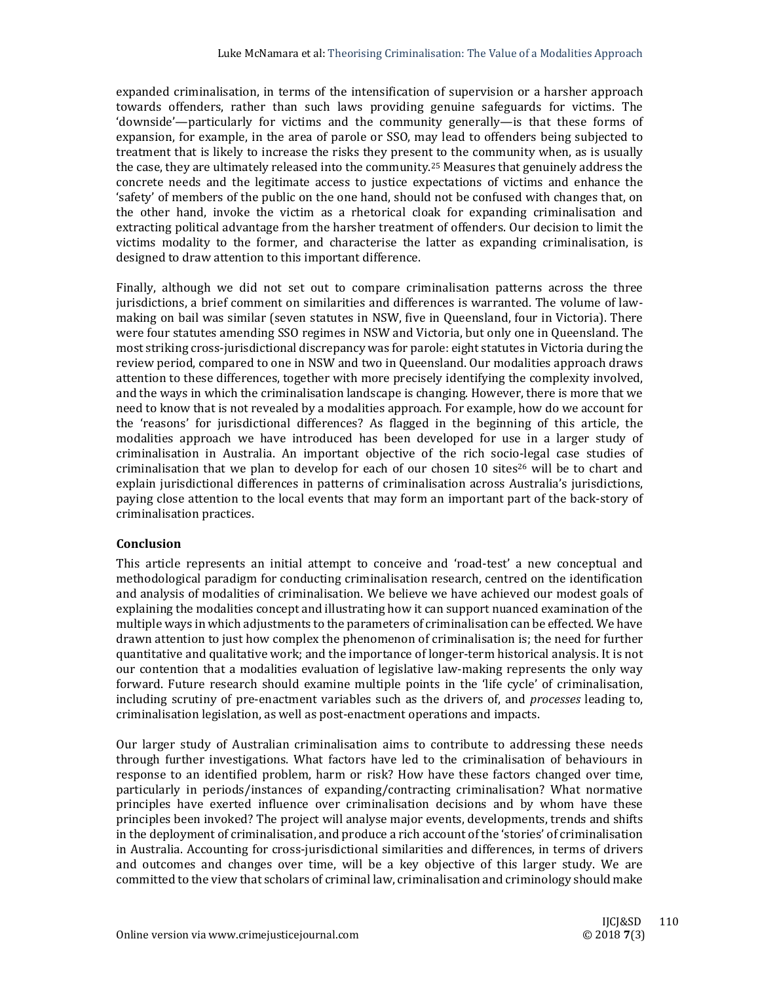expanded criminalisation, in terms of the intensification of supervision or a harsher approach towards offenders, rather than such laws providing genuine safeguards for victims. The 'downside'—particularly for victims and the community generally—is that these forms of expansion, for example, in the area of parole or SSO, may lead to offenders being subjected to treatment that is likely to increase the risks they present to the community when, as is usually the case, they are ultimately released into the community.<sup>25</sup> Measures that genuinely address the concrete needs and the legitimate access to justice expectations of victims and enhance the 'safety' of members of the public on the one hand, should not be confused with changes that, on the other hand, invoke the victim as a rhetorical cloak for expanding criminalisation and extracting political advantage from the harsher treatment of offenders. Our decision to limit the victims modality to the former, and characterise the latter as expanding criminalisation, is designed to draw attention to this important difference.

Finally, although we did not set out to compare criminalisation patterns across the three jurisdictions, a brief comment on similarities and differences is warranted. The volume of lawmaking on bail was similar (seven statutes in NSW, five in Queensland, four in Victoria). There were four statutes amending SSO regimes in NSW and Victoria, but only one in Queensland. The most striking cross-jurisdictional discrepancy was for parole: eight statutes in Victoria during the review period, compared to one in NSW and two in Queensland. Our modalities approach draws attention to these differences, together with more precisely identifying the complexity involved, and the ways in which the criminalisation landscape is changing. However, there is more that we need to know that is not revealed by a modalities approach. For example, how do we account for the 'reasons' for jurisdictional differences? As flagged in the beginning of this article, the modalities approach we have introduced has been developed for use in a larger study of criminalisation in Australia. An important objective of the rich socio-legal case studies of criminalisation that we plan to develop for each of our chosen 10 sites<sup>26</sup> will be to chart and explain jurisdictional differences in patterns of criminalisation across Australia's jurisdictions, paying close attention to the local events that may form an important part of the back-story of criminalisation practices.

#### **Conclusion**

This article represents an initial attempt to conceive and 'road-test' a new conceptual and methodological paradigm for conducting criminalisation research, centred on the identification and analysis of modalities of criminalisation. We believe we have achieved our modest goals of explaining the modalities concept and illustrating how it can support nuanced examination of the multiple ways in which adjustments to the parameters of criminalisation can be effected. We have drawn attention to just how complex the phenomenon of criminalisation is; the need for further quantitative and qualitative work; and the importance of longer-term historical analysis. It is not our contention that a modalities evaluation of legislative law-making represents the only way forward. Future research should examine multiple points in the 'life cycle' of criminalisation, including scrutiny of pre-enactment variables such as the drivers of, and *processes* leading to, criminalisation legislation, as well as post-enactment operations and impacts.

Our larger study of Australian criminalisation aims to contribute to addressing these needs through further investigations. What factors have led to the criminalisation of behaviours in response to an identified problem, harm or risk? How have these factors changed over time, particularly in periods/instances of expanding/contracting criminalisation? What normative principles have exerted influence over criminalisation decisions and by whom have these principles been invoked? The project will analyse major events, developments, trends and shifts in the deployment of criminalisation, and produce a rich account of the 'stories' of criminalisation in Australia. Accounting for cross-jurisdictional similarities and differences, in terms of drivers and outcomes and changes over time, will be a key objective of this larger study. We are committed to the view that scholars of criminal law, criminalisation and criminology should make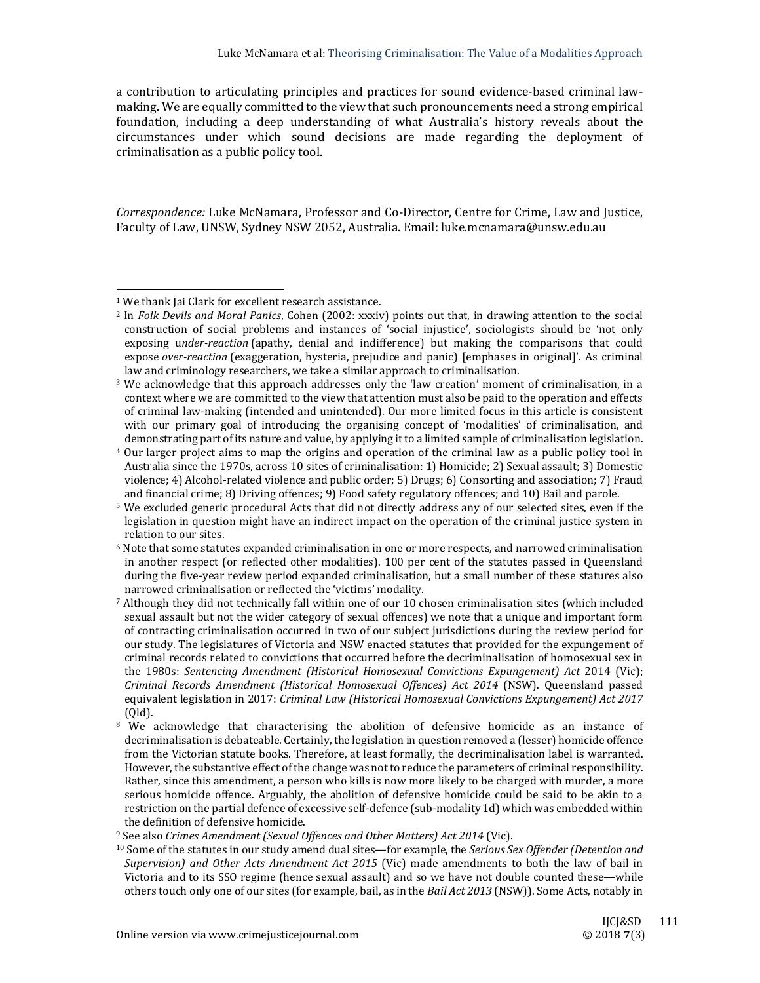a contribution to articulating principles and practices for sound evidence-based criminal lawmaking. We are equally committed to the view that such pronouncements need a strong empirical foundation, including a deep understanding of what Australia's history reveals about the circumstances under which sound decisions are made regarding the deployment of criminalisation as a public policy tool.

Correspondence: Luke McNamara, Professor and Co-Director, Centre for Crime, Law and Justice, Faculty of Law, UNSW, Sydney NSW 2052, Australia. Email: luke.mcnamara@unsw.edu.au

 

<sup>&</sup>lt;sup>1</sup> We thank Jai Clark for excellent research assistance.

<sup>&</sup>lt;sup>2</sup> In *Folk Devils and Moral Panics*, Cohen (2002: xxxiv) points out that, in drawing attention to the social construction of social problems and instances of 'social injustice', sociologists should be 'not only exposing under-reaction (apathy, denial and indifference) but making the comparisons that could expose *over-reaction* (exaggeration, hysteria, prejudice and panic) [emphases in original]'. As criminal law and criminology researchers, we take a similar approach to criminalisation.

 $3$  We acknowledge that this approach addresses only the 'law creation' moment of criminalisation, in a context where we are committed to the view that attention must also be paid to the operation and effects of criminal law-making (intended and unintended). Our more limited focus in this article is consistent with our primary goal of introducing the organising concept of 'modalities' of criminalisation, and demonstrating part of its nature and value, by applying it to a limited sample of criminalisation legislation.

<sup>&</sup>lt;sup>4</sup> Our larger project aims to map the origins and operation of the criminal law as a public policy tool in Australia since the 1970s, across 10 sites of criminalisation: 1) Homicide; 2) Sexual assault; 3) Domestic violence; 4) Alcohol-related violence and public order; 5) Drugs; 6) Consorting and association; 7) Fraud and financial crime; 8) Driving offences; 9) Food safety regulatory offences; and 10) Bail and parole.

<sup>&</sup>lt;sup>5</sup> We excluded generic procedural Acts that did not directly address any of our selected sites, even if the legislation in question might have an indirect impact on the operation of the criminal justice system in relation to our sites.

 $6$  Note that some statutes expanded criminalisation in one or more respects, and narrowed criminalisation in another respect (or reflected other modalities). 100 per cent of the statutes passed in Queensland during the five-year review period expanded criminalisation, but a small number of these statures also narrowed criminalisation or reflected the 'victims' modality.

 $7$  Although they did not technically fall within one of our 10 chosen criminalisation sites (which included sexual assault but not the wider category of sexual offences) we note that a unique and important form of contracting criminalisation occurred in two of our subject jurisdictions during the review period for our study. The legislatures of Victoria and NSW enacted statutes that provided for the expungement of criminal records related to convictions that occurred before the decriminalisation of homosexual sex in the 1980s: *Sentencing Amendment (Historical Homosexual Convictions Expungement) Act* 2014 (Vic); *Criminal Records Amendment (Historical Homosexual Offences) Act 2014* (NSW). Queensland passed equivalent legislation in 2017: *Criminal Law (Historical Homosexual Convictions Expungement) Act 2017* (Qld). 

 $8\,$  We acknowledge that characterising the abolition of defensive homicide as an instance of decriminalisation is debateable. Certainly, the legislation in question removed a (lesser) homicide offence from the Victorian statute books. Therefore, at least formally, the decriminalisation label is warranted. However, the substantive effect of the change was not to reduce the parameters of criminal responsibility. Rather, since this amendment, a person who kills is now more likely to be charged with murder, a more serious homicide offence. Arguably, the abolition of defensive homicide could be said to be akin to a restriction on the partial defence of excessive self-defence (sub-modality 1d) which was embedded within the definition of defensive homicide.

<sup>9</sup> See also *Crimes Amendment (Sexual Offences and Other Matters) Act 2014* (Vic). 

<sup>&</sup>lt;sup>10</sup> Some of the statutes in our study amend dual sites—for example, the *Serious Sex Offender (Detention and Supervision) and Other Acts Amendment Act 2015* (Vic) made amendments to both the law of bail in Victoria and to its SSO regime (hence sexual assault) and so we have not double counted these—while others touch only one of our sites (for example, bail, as in the *Bail Act 2013* (NSW)). Some Acts, notably in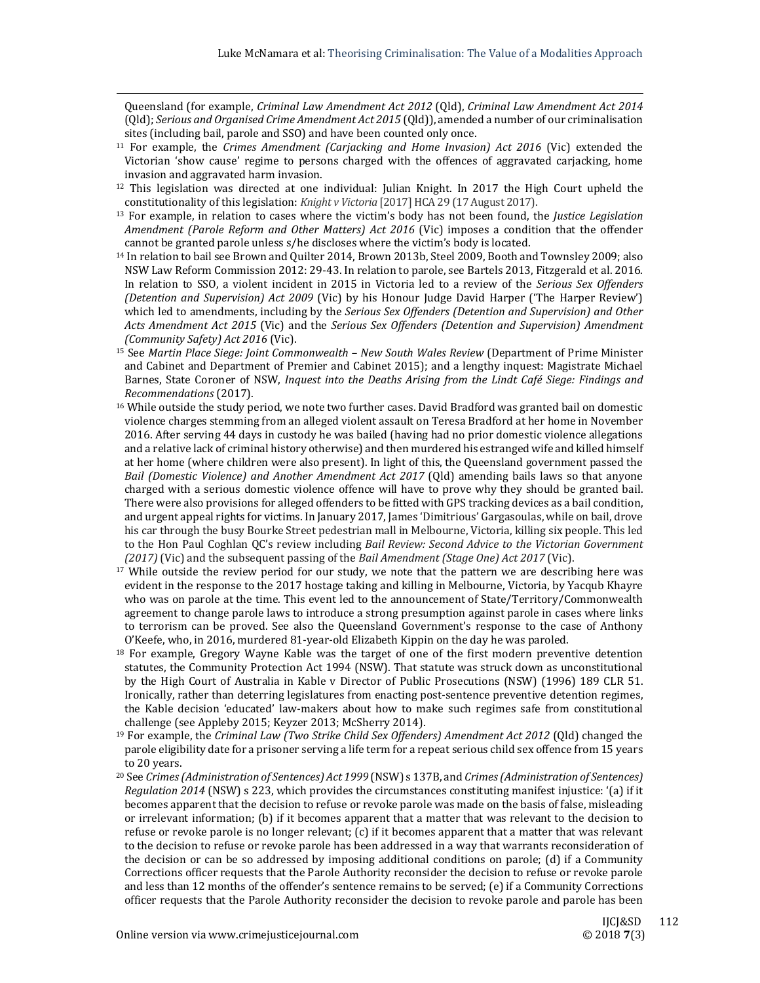Queensland (for example, *Criminal Law Amendment Act 2012* (Qld), *Criminal Law Amendment Act 2014* (Qld); *Serious and Organised Crime Amendment Act 2015* (Qld)), amended a number of our criminalisation sites (including bail, parole and SSO) and have been counted only once.

 

- 11 For example, the *Crimes Amendment (Carjacking and Home Invasion) Act 2016* (Vic) extended the Victorian 'show cause' regime to persons charged with the offences of aggravated carjacking, home invasion and aggravated harm invasion.
- <sup>12</sup> This legislation was directed at one individual: Julian Knight. In 2017 the High Court upheld the constitutionality of this legislation: *Knight v Victoria* [2017] HCA 29 (17 August 2017).
- <sup>13</sup> For example, in relation to cases where the victim's body has not been found, the *Justice Legislation Amendment (Parole Reform and Other Matters) Act 2016* (Vic) imposes a condition that the offender cannot be granted parole unless s/he discloses where the victim's body is located.
- <sup>14</sup> In relation to bail see Brown and Quilter 2014, Brown 2013b, Steel 2009, Booth and Townsley 2009; also NSW Law Reform Commission 2012: 29-43. In relation to parole, see Bartels 2013, Fitzgerald et al. 2016. In relation to SSO, a violent incident in 2015 in Victoria led to a review of the *Serious Sex Offenders (Detention and Supervision) Act* 2009 *(Vic)* by his Honour Judge David Harper *('The Harper Review')* which led to amendments, including by the *Serious Sex Offenders (Detention and Supervision) and Other Acts Amendment Act 2015* (Vic) and the *Serious Sex Offenders (Detention and Supervision) Amendment (Community Safety) Act 2016* (Vic).
- 15 See *Martin Place Siege: Joint Commonwealth – New South Wales Review* (Department of Prime Minister and Cabinet and Department of Premier and Cabinet 2015); and a lengthy inquest: Magistrate Michael Barnes, State Coroner of NSW, *Inquest into the Deaths Arising from the Lindt Café Siege: Findings and Recommendations* (2017).
- $16$  While outside the study period, we note two further cases. David Bradford was granted bail on domestic violence charges stemming from an alleged violent assault on Teresa Bradford at her home in November 2016. After serving 44 days in custody he was bailed (having had no prior domestic violence allegations and a relative lack of criminal history otherwise) and then murdered his estranged wife and killed himself at her home (where children were also present). In light of this, the Queensland government passed the *Bail (Domestic Violence) and Another Amendment Act 2017* (Qld) amending bails laws so that anyone charged with a serious domestic violence offence will have to prove why they should be granted bail. There were also provisions for alleged offenders to be fitted with GPS tracking devices as a bail condition, and urgent appeal rights for victims. In January 2017, James 'Dimitrious' Gargasoulas, while on bail, drove his car through the busy Bourke Street pedestrian mall in Melbourne, Victoria, killing six people. This led to the Hon Paul Coghlan QC's review including *Bail Review: Second Advice to the Victorian Government (2017)* (Vic) and the subsequent passing of the *Bail Amendment (Stage One) Act 2017* (Vic).
- <sup>17</sup> While outside the review period for our study, we note that the pattern we are describing here was evident in the response to the 2017 hostage taking and killing in Melbourne, Victoria, by Yacqub Khayre who was on parole at the time. This event led to the announcement of State/Territory/Commonwealth agreement to change parole laws to introduce a strong presumption against parole in cases where links to terrorism can be proved. See also the Queensland Government's response to the case of Anthony O'Keefe, who, in 2016, murdered 81-year-old Elizabeth Kippin on the day he was paroled.
- $18$  For example, Gregory Wayne Kable was the target of one of the first modern preventive detention statutes, the Community Protection Act 1994 (NSW). That statute was struck down as unconstitutional by the High Court of Australia in Kable v Director of Public Prosecutions (NSW) (1996) 189 CLR 51. Ironically, rather than deterring legislatures from enacting post-sentence preventive detention regimes, the Kable decision 'educated' law-makers about how to make such regimes safe from constitutional challenge (see Appleby 2015; Keyzer 2013; McSherry 2014).
- 19 For example, the *Criminal Law (Two Strike Child Sex Offenders) Amendment Act 2012* (Qld) changed the parole eligibility date for a prisoner serving a life term for a repeat serious child sex offence from 15 years to 20 years.
- 20 See *Crimes(Administration of Sentences) Act 1999* (NSW) s 137B, and *Crimes(Administration of Sentences) Regulation* 2014 (NSW) s 223, which provides the circumstances constituting manifest injustice: '(a) if it becomes apparent that the decision to refuse or revoke parole was made on the basis of false, misleading or irrelevant information; (b) if it becomes apparent that a matter that was relevant to the decision to refuse or revoke parole is no longer relevant;  $(c)$  if it becomes apparent that a matter that was relevant to the decision to refuse or revoke parole has been addressed in a way that warrants reconsideration of the decision or can be so addressed by imposing additional conditions on parole; (d) if a Community Corrections officer requests that the Parole Authority reconsider the decision to refuse or revoke parole and less than 12 months of the offender's sentence remains to be served; (e) if a Community Corrections officer requests that the Parole Authority reconsider the decision to revoke parole and parole has been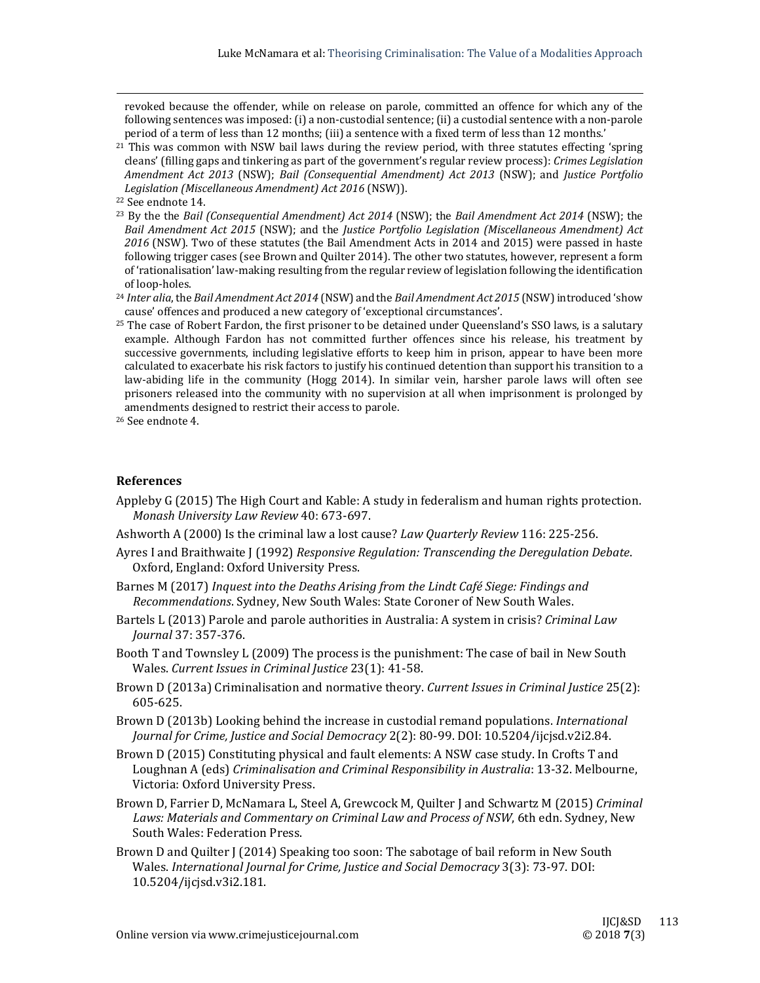revoked because the offender, while on release on parole, committed an offence for which any of the following sentences was imposed: (i) a non-custodial sentence; (ii) a custodial sentence with a non-parole period of a term of less than 12 months; (iii) a sentence with a fixed term of less than 12 months.'

 

 $21$  This was common with NSW bail laws during the review period, with three statutes effecting 'spring cleans' (filling gaps and tinkering as part of the government's regular review process): *Crimes Legislation Amendment Act 2013* (NSW); *Bail (Consequential Amendment) Act 2013* (NSW); and *Justice Portfolio Legislation (Miscellaneous Amendment) Act 2016* (NSW)). 

- <sup>23</sup> By the the *Bail (Consequential Amendment) Act* 2014 (NSW); the *Bail Amendment Act* 2014 (NSW); the *Bail Amendment Act 2015* (NSW); and the *Justice Portfolio Legislation (Miscellaneous Amendment) Act* 2016 (NSW). Two of these statutes (the Bail Amendment Acts in 2014 and 2015) were passed in haste following trigger cases (see Brown and Quilter 2014). The other two statutes, however, represent a form of 'rationalisation' law-making resulting from the regular review of legislation following the identification of loop-holes.
- <sup>24</sup> Inter alia, the Bail Amendment Act 2014 (NSW) and the Bail Amendment Act 2015 (NSW) introduced 'show cause' offences and produced a new category of 'exceptional circumstances'.
- $25$  The case of Robert Fardon, the first prisoner to be detained under Queensland's SSO laws, is a salutary example. Although Fardon has not committed further offences since his release, his treatment by successive governments, including legislative efforts to keep him in prison, appear to have been more calculated to exacerbate his risk factors to justify his continued detention than support his transition to a law-abiding life in the community (Hogg 2014). In similar vein, harsher parole laws will often see prisoners released into the community with no supervision at all when imprisonment is prolonged by amendments designed to restrict their access to parole.

# **References**

- Appleby G (2015) The High Court and Kable: A study in federalism and human rights protection. *Monash University Law Review* 40: 673‐697.
- Ashworth A (2000) Is the criminal law a lost cause? *Law Quarterly Review* 116: 225-256.
- Ayres I and Braithwaite J (1992) *Responsive Regulation: Transcending the Deregulation Debate*. Oxford, England: Oxford University Press.
- Barnes M (2017) *Inquest into the Deaths Arising from the Lindt Café Siege: Findings and Recommendations*. Sydney, New South Wales: State Coroner of New South Wales.
- Bartels L (2013) Parole and parole authorities in Australia: A system in crisis? *Criminal Law Journal* 37: 357‐376.
- Booth T and Townsley L (2009) The process is the punishment: The case of bail in New South Wales. *Current Issues in Criminal Justice* 23(1): 41‐58.
- Brown D (2013a) Criminalisation and normative theory. *Current Issues in Criminal Justice* 25(2): 605‐625.
- Brown D (2013b) Looking behind the increase in custodial remand populations. *International Journal for Crime, Justice and Social Democracy* 2(2): 80‐99. DOI: 10.5204/ijcjsd.v2i2.84.
- Brown D (2015) Constituting physical and fault elements: A NSW case study. In Crofts T and Loughnan A (eds) *Criminalisation and Criminal Responsibility in Australia*: 13‐32. Melbourne, Victoria: Oxford University Press.
- Brown D, Farrier D, McNamara L, Steel A, Grewcock M, Quilter J and Schwartz M (2015) *Criminal Laws: Materials and Commentary on Criminal Law and Process of NSW*, 6th edn. Sydney, New South Wales: Federation Press.
- Brown D and Quilter J (2014) Speaking too soon: The sabotage of bail reform in New South Wales. *International Journal for Crime, Justice and Social Democracy* 3(3): 73‐97. DOI: 10.5204/ijcjsd.v3i2.181.

<sup>&</sup>lt;sup>22</sup> See endnote 14.

<sup>&</sup>lt;sup>26</sup> See endnote 4.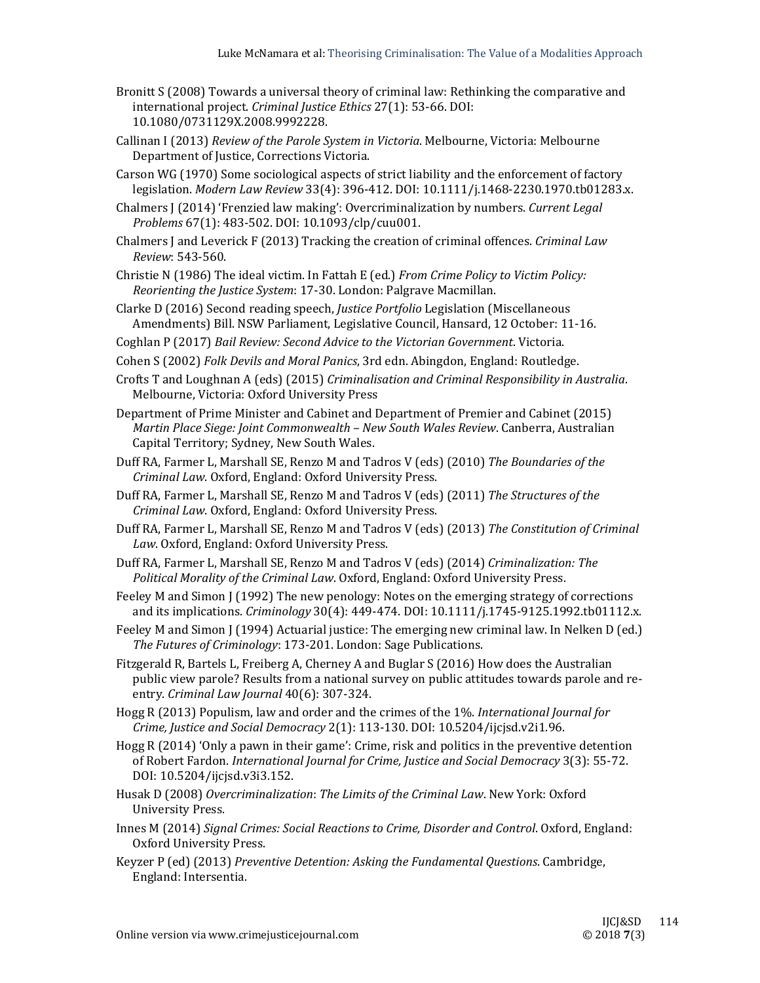- Bronitt S (2008) Towards a universal theory of criminal law: Rethinking the comparative and international project. *Criminal Justice Ethics* 27(1): 53-66. DOI: 10.1080/0731129X.2008.9992228.
- Callinan I (2013) *Review of the Parole System in Victoria*. Melbourne, Victoria: Melbourne Department of Justice, Corrections Victoria.
- Carson WG (1970) Some sociological aspects of strict liability and the enforcement of factory legislation. *Modern Law Review* 33(4): 396‐412. DOI: 10.1111/j.1468‐2230.1970.tb01283.x.
- Chalmers J (2014) 'Frenzied law making': Overcriminalization by numbers. *Current Legal Problems* 67(1): 483-502. DOI: 10.1093/clp/cuu001.
- Chalmers *J* and Leverick F (2013) Tracking the creation of criminal offences. *Criminal Law Review*: 543‐560.
- Christie N (1986) The ideal victim. In Fattah E (ed.) *From Crime Policy to Victim Policy: Reorienting the Justice System*: 17‐30. London: Palgrave Macmillan.
- Clarke D (2016) Second reading speech, *Justice Portfolio* Legislation (Miscellaneous Amendments) Bill. NSW Parliament, Legislative Council, Hansard, 12 October: 11-16.
- Coghlan P (2017) *Bail Review: Second Advice to the Victorian Government*. Victoria.
- Cohen S (2002) *Folk Devils and Moral Panics*, 3rd edn. Abingdon, England: Routledge.

Crofts T and Loughnan A (eds) (2015) *Criminalisation and Criminal Responsibility in Australia*. Melbourne, Victoria: Oxford University Press

- Department of Prime Minister and Cabinet and Department of Premier and Cabinet (2015) *Martin Place Siege: Joint Commonwealth – New South Wales Review*. Canberra, Australian Capital Territory; Sydney, New South Wales.
- Duff RA, Farmer L, Marshall SE, Renzo M and Tadros V (eds) (2010) The Boundaries of the *Criminal Law*. Oxford, England: Oxford University Press.
- Duff RA, Farmer L, Marshall SE, Renzo M and Tadros V (eds) (2011) *The Structures of the Criminal Law*. Oxford, England: Oxford University Press.
- Duff RA, Farmer L, Marshall SE, Renzo M and Tadros V (eds) (2013) *The Constitution of Criminal* Law. Oxford, England: Oxford University Press.
- Duff RA, Farmer L, Marshall SE, Renzo M and Tadros V (eds) (2014) *Criminalization: The Political Morality of the Criminal Law*. Oxford, England: Oxford University Press.
- Feeley M and Simon J (1992) The new penology: Notes on the emerging strategy of corrections and its implications. *Criminology* 30(4): 449-474. DOI: 10.1111/j.1745-9125.1992.tb01112.x.
- Feeley M and Simon  $\int$  (1994) Actuarial justice: The emerging new criminal law. In Nelken D (ed.) *The Futures of Criminology*: 173‐201. London: Sage Publications.
- Fitzgerald R, Bartels L, Freiberg A, Cherney A and Buglar S (2016) How does the Australian public view parole? Results from a national survey on public attitudes towards parole and reentry. *Criminal Law Journal* 40(6): 307‐324.
- Hogg R (2013) Populism, law and order and the crimes of the 1%. *International Journal for Crime, Justice and Social Democracy* 2(1): 113‐130. DOI: 10.5204/ijcjsd.v2i1.96.
- Hogg R  $(2014)$  'Only a pawn in their game': Crime, risk and politics in the preventive detention of Robert Fardon. *International Journal for Crime, Justice and Social Democracy* 3(3): 55‐72. DOI: 10.5204/ijcjsd.v3i3.152.
- Husak D (2008) *Overcriminalization*: *The Limits of the Criminal Law*. New York: Oxford University Press.
- Innes M (2014) *Signal Crimes: Social Reactions to Crime, Disorder and Control*. Oxford, England: Oxford University Press.
- Keyzer P (ed) (2013) *Preventive Detention: Asking the Fundamental Questions*. Cambridge, England: Intersentia.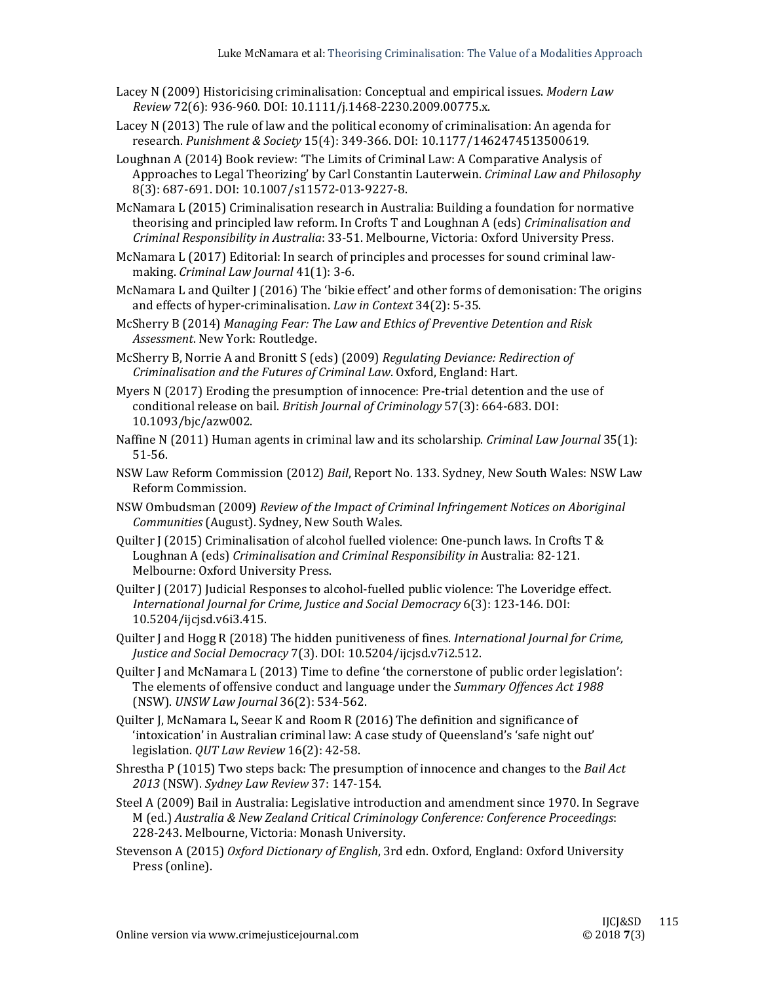- Lacey N (2009) Historicising criminalisation: Conceptual and empirical issues. *Modern Law Review* 72(6): 936‐960. DOI: 10.1111/j.1468‐2230.2009.00775.x.
- Lacey  $N(2013)$  The rule of law and the political economy of criminalisation: An agenda for research. *Punishment & Society* 15(4): 349‐366. DOI: 10.1177/1462474513500619.
- Loughnan A (2014) Book review: 'The Limits of Criminal Law: A Comparative Analysis of Approaches to Legal Theorizing' by Carl Constantin Lauterwein. *Criminal Law and Philosophy* 8(3): 687-691. DOI: 10.1007/s11572-013-9227-8.
- McNamara L (2015) Criminalisation research in Australia: Building a foundation for normative theorising and principled law reform. In Crofts T and Loughnan A (eds) *Criminalisation and Criminal Responsibility in Australia*: 33‐51. Melbourne, Victoria: Oxford University Press.
- McNamara L (2017) Editorial: In search of principles and processes for sound criminal lawmaking. *Criminal Law Journal* 41(1): 3‐6.
- McNamara L and Quilter  $\int$  (2016) The 'bikie effect' and other forms of demonisation: The origins and effects of hyper-criminalisation. *Law in Context* 34(2): 5-35.
- McSherry B (2014) *Managing Fear: The Law and Ethics of Preventive Detention and Risk* Assessment. New York: Routledge.
- McSherry B, Norrie A and Bronitt S (eds) (2009) *Regulating Deviance: Redirection of Criminalisation and the Futures of Criminal Law*. Oxford, England: Hart.
- Myers  $N(2017)$  Eroding the presumption of innocence: Pre-trial detention and the use of conditional release on bail. *British Journal of Criminology* 57(3): 664-683. DOI: 10.1093/bjc/azw002.
- Naffine N (2011) Human agents in criminal law and its scholarship. *Criminal Law Journal* 35(1): 51‐56.
- NSW Law Reform Commission (2012) *Bail*, Report No. 133. Sydney, New South Wales: NSW Law Reform Commission.
- NSW Ombudsman (2009) *Review of the Impact of Criminal Infringement Notices on Aboriginal Communities* (August). Sydney, New South Wales.
- Ouilter  $\int$  (2015) Criminalisation of alcohol fuelled violence: One-punch laws. In Crofts T & Loughnan A (eds) *Criminalisation and Criminal Responsibility in* Australia: 82‐121. Melbourne: Oxford University Press.
- Ouilter J (2017) Judicial Responses to alcohol-fuelled public violence: The Loveridge effect. *International Journal for Crime, Justice and Social Democracy* 6(3): 123‐146. DOI: 10.5204/ijcjsd.v6i3.415.
- Quilter I and Hogg R (2018) The hidden punitiveness of fines. *International Journal for Crime*, *Justice and Social Democracy* 7(3). DOI: 10.5204/ijcjsd.v7i2.512.
- Ouilter I and McNamara L (2013) Time to define 'the cornerstone of public order legislation': The elements of offensive conduct and language under the *Summary Offences Act* 1988 (NSW). *UNSW Law Journal* 36(2): 534‐562.
- Quilter J, McNamara L, Seear K and Room R (2016) The definition and significance of 'intoxication' in Australian criminal law: A case study of Queensland's 'safe night out' legislation. *QUT Law Review* 16(2): 42-58.
- Shrestha P (1015) Two steps back: The presumption of innocence and changes to the *Bail Act 2013* (NSW). *Sydney Law Review* 37: 147‐154.
- Steel A (2009) Bail in Australia: Legislative introduction and amendment since 1970. In Segrave M (ed.) *Australia & New Zealand Critical Criminology Conference: Conference Proceedings*: 228-243. Melbourne, Victoria: Monash University.
- Stevenson A (2015) *Oxford Dictionary of English*, 3rd edn. Oxford, England: Oxford University Press (online).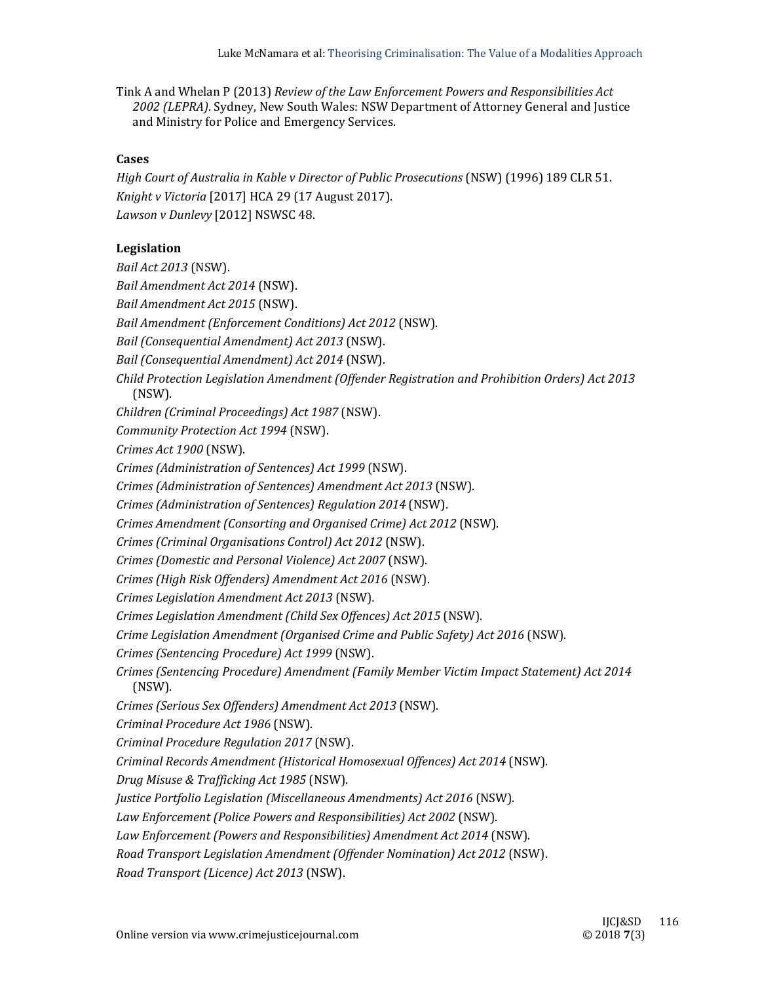Tink A and Whelan P (2013) *Review of the Law Enforcement Powers and Responsibilities Act* 2002 (LEPRA). Sydney, New South Wales: NSW Department of Attorney General and Justice and Ministry for Police and Emergency Services.

#### **Cases**

*High Court of Australia in Kable v Director of Public Prosecutions* (NSW) (1996) 189 CLR 51. *Knight v Victoria* [2017] HCA 29 (17 August 2017). *Lawson v Dunlevy* [2012] NSWSC 48.

## Legislation

*Bail Act 2013* (NSW).

*Bail Amendment Act 2014* (NSW).

*Bail Amendment Act 2015* (NSW).

*Bail Amendment (Enforcement Conditions) Act 2012* (NSW).

*Bail (Consequential Amendment) Act 2013* (NSW).

*Bail (Consequential Amendment) Act 2014* (NSW).

*Child Protection Legislation Amendment (Offender Registration and Prohibition Orders) Act 2013* (NSW).

*Children (Criminal Proceedings) Act 1987* (NSW). 

*Community Protection Act 1994* (NSW).

*Crimes Act 1900* (NSW). 

*Crimes (Administration of Sentences) Act 1999* (NSW).

*Crimes (Administration of Sentences) Amendment Act 2013* (NSW).

*Crimes (Administration of Sentences) Regulation 2014* (NSW).

*Crimes Amendment (Consorting and Organised Crime) Act 2012* (NSW). 

*Crimes (Criminal Organisations Control) Act 2012* (NSW). 

*Crimes (Domestic and Personal Violence) Act 2007* (NSW). 

*Crimes (High Risk Offenders) Amendment Act 2016* (NSW). 

*Crimes Legislation Amendment Act 2013* (NSW)*.* 

*Crimes Legislation Amendment (Child Sex Offences) Act 2015* (NSW). 

*Crime Legislation Amendment (Organised Crime and Public Safety) Act 2016* (NSW). 

*Crimes (Sentencing Procedure) Act 1999* (NSW). 

*Crimes (Sentencing Procedure) Amendment (Family Member Victim Impact Statement) Act 2014* (NSW). 

*Crimes (Serious Sex Offenders) Amendment Act 2013* (NSW). 

*Criminal Procedure Act 1986* (NSW). 

*Criminal Procedure Regulation 2017* (NSW). 

*Criminal Records Amendment (Historical Homosexual Offences) Act 2014* (NSW). 

*Drug Misuse & Trafficking Act 1985* (NSW). 

*Justice Portfolio Legislation (Miscellaneous Amendments) Act 2016* (NSW). 

*Law Enforcement (Police Powers and Responsibilities) Act 2002* (NSW). 

*Law Enforcement (Powers and Responsibilities) Amendment Act 2014* (NSW). 

*Road Transport Legislation Amendment (Offender Nomination) Act 2012* (NSW). 

*Road Transport (Licence) Act 2013* (NSW).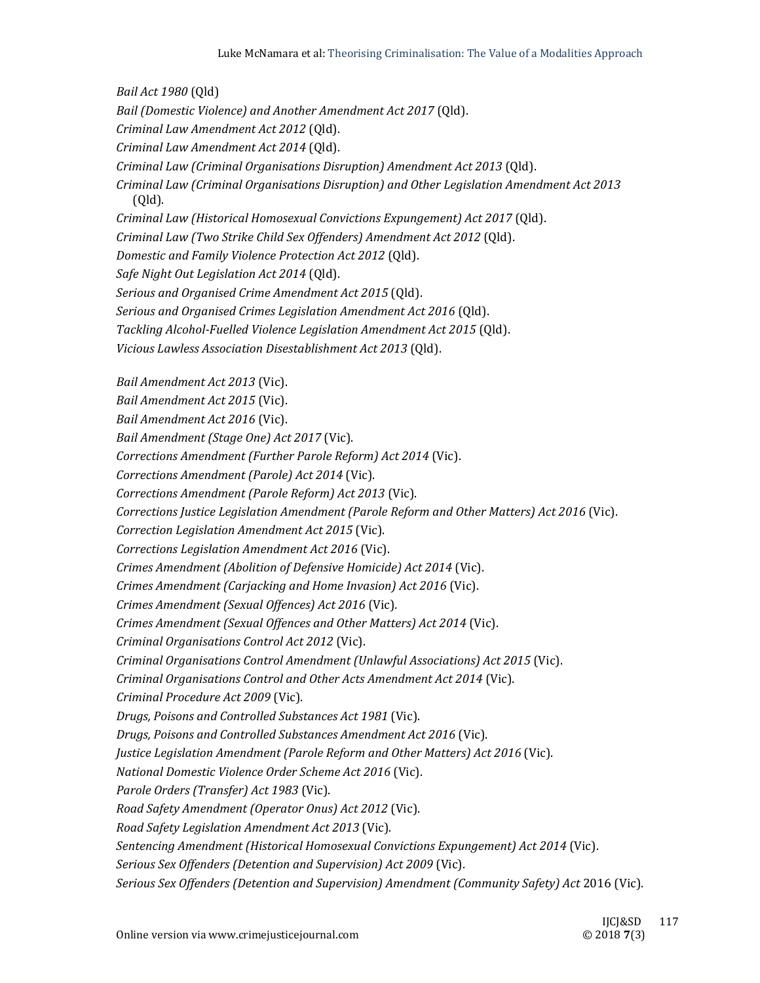*Bail Act 1980* (Qld) *Bail (Domestic Violence) and Another Amendment Act 2017* (Qld). *Criminal Law Amendment Act 2012* (Qld). *Criminal Law Amendment Act 2014* (Qld). *Criminal Law (Criminal Organisations Disruption) Amendment Act 2013* (Qld). *Criminal Law (Criminal Organisations Disruption) and Other Legislation Amendment Act 2013* (Qld). *Criminal Law (Historical Homosexual Convictions Expungement) Act 2017* (Qld). *Criminal Law (Two Strike Child Sex Offenders) Amendment Act 2012* (Qld). *Domestic and Family Violence Protection Act 2012* (Qld). *Safe Night Out Legislation Act 2014* (Qld). *Serious and Organised Crime Amendment Act 2015* (Qld). *Serious and Organised Crimes Legislation Amendment Act 2016* (Qld). *Tackling Alcohol‐Fuelled Violence Legislation Amendment Act 2015* (Qld). *Vicious Lawless Association Disestablishment Act 2013* (Qld). *Bail Amendment Act 2013* (Vic). *Bail Amendment Act 2015* (Vic). *Bail Amendment Act 2016* (Vic). *Bail Amendment (Stage One) Act 2017* (Vic). *Corrections Amendment (Further Parole Reform) Act 2014* (Vic). *Corrections Amendment (Parole) Act 2014* (Vic). *Corrections Amendment (Parole Reform) Act 2013* (Vic). *Corrections Justice Legislation Amendment (Parole Reform and Other Matters) Act 2016* (Vic). *Correction Legislation Amendment Act 2015* (Vic). *Corrections Legislation Amendment Act 2016* (Vic). *Crimes Amendment (Abolition of Defensive Homicide) Act 2014* (Vic). *Crimes Amendment (Carjacking and Home Invasion) Act 2016* (Vic). *Crimes Amendment (Sexual Offences) Act 2016* (Vic)*. Crimes Amendment (Sexual Offences and Other Matters) Act 2014* (Vic). *Criminal Organisations Control Act 2012* (Vic). *Criminal Organisations Control Amendment (Unlawful Associations) Act 2015* (Vic). *Criminal Organisations Control and Other Acts Amendment Act 2014* (Vic). *Criminal Procedure Act 2009* (Vic). *Drugs, Poisons and Controlled Substances Act 1981* (Vic). *Drugs, Poisons and Controlled Substances Amendment Act 2016* (Vic). *Justice Legislation Amendment (Parole Reform and Other Matters) Act 2016* (Vic). *National Domestic Violence Order Scheme Act 2016* (Vic). *Parole Orders (Transfer) Act 1983* (Vic). *Road Safety Amendment (Operator Onus) Act 2012* (Vic). *Road Safety Legislation Amendment Act 2013* (Vic). *Sentencing Amendment (Historical Homosexual Convictions Expungement) Act 2014* (Vic). *Serious Sex Offenders (Detention and Supervision) Act 2009* (Vic). *Serious Sex Offenders (Detention and Supervision) Amendment (Community Safety) Act* 2016 (Vic).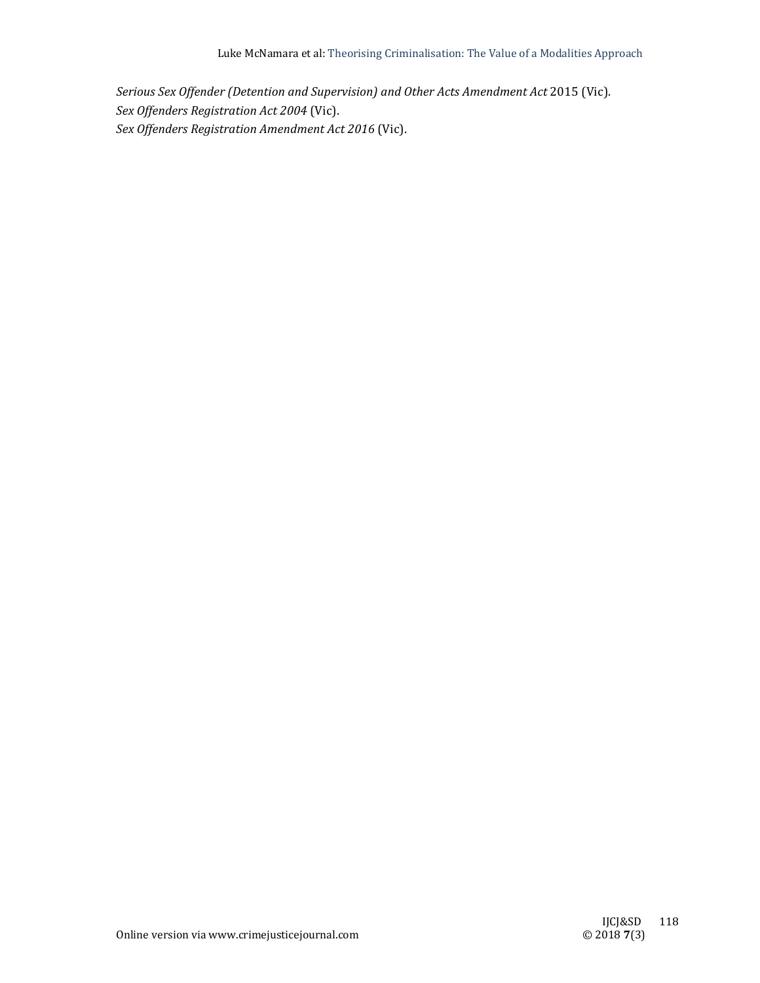*Serious Sex Offender (Detention and Supervision) and Other Acts Amendment Act* 2015 (Vic). *Sex Offenders Registration Act 2004* (Vic). *Sex Offenders Registration Amendment Act 2016* (Vic).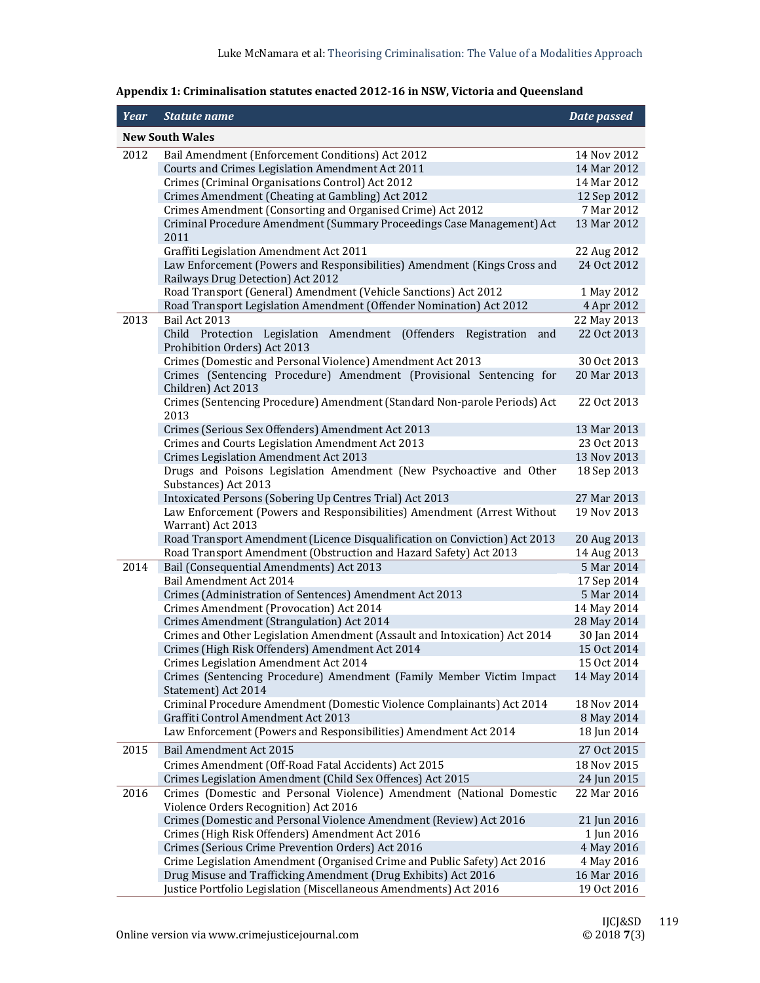| <b>New South Wales</b><br>2012<br>14 Nov 2012<br>Bail Amendment (Enforcement Conditions) Act 2012<br>Courts and Crimes Legislation Amendment Act 2011<br>14 Mar 2012<br>Crimes (Criminal Organisations Control) Act 2012<br>14 Mar 2012<br>Crimes Amendment (Cheating at Gambling) Act 2012<br>12 Sep 2012<br>Crimes Amendment (Consorting and Organised Crime) Act 2012<br>7 Mar 2012<br>Criminal Procedure Amendment (Summary Proceedings Case Management) Act<br>13 Mar 2012<br>2011<br>Graffiti Legislation Amendment Act 2011<br>22 Aug 2012<br>Law Enforcement (Powers and Responsibilities) Amendment (Kings Cross and<br>24 Oct 2012<br>Railways Drug Detection) Act 2012<br>Road Transport (General) Amendment (Vehicle Sanctions) Act 2012<br>1 May 2012<br>Road Transport Legislation Amendment (Offender Nomination) Act 2012<br>4 Apr 2012<br>Bail Act 2013<br>2013<br>22 May 2013<br>22 Oct 2013<br>Child Protection<br>Legislation Amendment (Offenders<br>Registration<br>and<br>Prohibition Orders) Act 2013<br>Crimes (Domestic and Personal Violence) Amendment Act 2013<br>30 Oct 2013<br>Crimes (Sentencing Procedure) Amendment (Provisional Sentencing for<br>20 Mar 2013<br>Children) Act 2013<br>Crimes (Sentencing Procedure) Amendment (Standard Non-parole Periods) Act<br>22 Oct 2013<br>2013<br>Crimes (Serious Sex Offenders) Amendment Act 2013<br>13 Mar 2013<br>Crimes and Courts Legislation Amendment Act 2013<br>23 Oct 2013<br>Crimes Legislation Amendment Act 2013<br>13 Nov 2013<br>Drugs and Poisons Legislation Amendment (New Psychoactive and Other<br>18 Sep 2013<br>Substances) Act 2013<br>27 Mar 2013<br>Intoxicated Persons (Sobering Up Centres Trial) Act 2013<br>Law Enforcement (Powers and Responsibilities) Amendment (Arrest Without<br>19 Nov 2013<br>Warrant) Act 2013<br>Road Transport Amendment (Licence Disqualification on Conviction) Act 2013<br>20 Aug 2013<br>Road Transport Amendment (Obstruction and Hazard Safety) Act 2013<br>14 Aug 2013<br>2014<br>Bail (Consequential Amendments) Act 2013<br>5 Mar 2014<br>Bail Amendment Act 2014<br>17 Sep 2014<br>Crimes (Administration of Sentences) Amendment Act 2013<br>5 Mar 2014<br>Crimes Amendment (Provocation) Act 2014<br>14 May 2014<br>Crimes Amendment (Strangulation) Act 2014<br>28 May 2014<br>Crimes and Other Legislation Amendment (Assault and Intoxication) Act 2014<br>30 Jan 2014<br>Crimes (High Risk Offenders) Amendment Act 2014<br>15 Oct 2014<br>Crimes Legislation Amendment Act 2014<br>15 Oct 2014<br>Crimes (Sentencing Procedure) Amendment (Family Member Victim Impact<br>14 May 2014<br>Statement) Act 2014<br>Criminal Procedure Amendment (Domestic Violence Complainants) Act 2014<br>18 Nov 2014<br>Graffiti Control Amendment Act 2013<br>8 May 2014<br>Law Enforcement (Powers and Responsibilities) Amendment Act 2014<br>18 Jun 2014<br>27 Oct 2015<br>2015<br>Bail Amendment Act 2015<br>Crimes Amendment (Off-Road Fatal Accidents) Act 2015<br>18 Nov 2015<br>Crimes Legislation Amendment (Child Sex Offences) Act 2015<br>24 Jun 2015<br>Crimes (Domestic and Personal Violence) Amendment (National Domestic<br>2016<br>22 Mar 2016<br>Violence Orders Recognition) Act 2016<br>Crimes (Domestic and Personal Violence Amendment (Review) Act 2016<br>21 Jun 2016<br>Crimes (High Risk Offenders) Amendment Act 2016<br>1 Jun 2016<br>Crimes (Serious Crime Prevention Orders) Act 2016<br>4 May 2016<br>Crime Legislation Amendment (Organised Crime and Public Safety) Act 2016<br>4 May 2016 | Year | <b>Statute name</b>                                            | Date passed |
|----------------------------------------------------------------------------------------------------------------------------------------------------------------------------------------------------------------------------------------------------------------------------------------------------------------------------------------------------------------------------------------------------------------------------------------------------------------------------------------------------------------------------------------------------------------------------------------------------------------------------------------------------------------------------------------------------------------------------------------------------------------------------------------------------------------------------------------------------------------------------------------------------------------------------------------------------------------------------------------------------------------------------------------------------------------------------------------------------------------------------------------------------------------------------------------------------------------------------------------------------------------------------------------------------------------------------------------------------------------------------------------------------------------------------------------------------------------------------------------------------------------------------------------------------------------------------------------------------------------------------------------------------------------------------------------------------------------------------------------------------------------------------------------------------------------------------------------------------------------------------------------------------------------------------------------------------------------------------------------------------------------------------------------------------------------------------------------------------------------------------------------------------------------------------------------------------------------------------------------------------------------------------------------------------------------------------------------------------------------------------------------------------------------------------------------------------------------------------------------------------------------------------------------------------------------------------------------------------------------------------------------------------------------------------------------------------------------------------------------------------------------------------------------------------------------------------------------------------------------------------------------------------------------------------------------------------------------------------------------------------------------------------------------------------------------------------------------------------------------------------------------------------------------------------------------------------------------------------------------------------------------------------------------------------------------------------------------------------------------------------------------------------------------------------------------------------------------------------------------------------------------------------------------------------------------------|------|----------------------------------------------------------------|-------------|
|                                                                                                                                                                                                                                                                                                                                                                                                                                                                                                                                                                                                                                                                                                                                                                                                                                                                                                                                                                                                                                                                                                                                                                                                                                                                                                                                                                                                                                                                                                                                                                                                                                                                                                                                                                                                                                                                                                                                                                                                                                                                                                                                                                                                                                                                                                                                                                                                                                                                                                                                                                                                                                                                                                                                                                                                                                                                                                                                                                                                                                                                                                                                                                                                                                                                                                                                                                                                                                                                                                                                                                      |      |                                                                |             |
|                                                                                                                                                                                                                                                                                                                                                                                                                                                                                                                                                                                                                                                                                                                                                                                                                                                                                                                                                                                                                                                                                                                                                                                                                                                                                                                                                                                                                                                                                                                                                                                                                                                                                                                                                                                                                                                                                                                                                                                                                                                                                                                                                                                                                                                                                                                                                                                                                                                                                                                                                                                                                                                                                                                                                                                                                                                                                                                                                                                                                                                                                                                                                                                                                                                                                                                                                                                                                                                                                                                                                                      |      |                                                                |             |
|                                                                                                                                                                                                                                                                                                                                                                                                                                                                                                                                                                                                                                                                                                                                                                                                                                                                                                                                                                                                                                                                                                                                                                                                                                                                                                                                                                                                                                                                                                                                                                                                                                                                                                                                                                                                                                                                                                                                                                                                                                                                                                                                                                                                                                                                                                                                                                                                                                                                                                                                                                                                                                                                                                                                                                                                                                                                                                                                                                                                                                                                                                                                                                                                                                                                                                                                                                                                                                                                                                                                                                      |      |                                                                |             |
|                                                                                                                                                                                                                                                                                                                                                                                                                                                                                                                                                                                                                                                                                                                                                                                                                                                                                                                                                                                                                                                                                                                                                                                                                                                                                                                                                                                                                                                                                                                                                                                                                                                                                                                                                                                                                                                                                                                                                                                                                                                                                                                                                                                                                                                                                                                                                                                                                                                                                                                                                                                                                                                                                                                                                                                                                                                                                                                                                                                                                                                                                                                                                                                                                                                                                                                                                                                                                                                                                                                                                                      |      |                                                                |             |
|                                                                                                                                                                                                                                                                                                                                                                                                                                                                                                                                                                                                                                                                                                                                                                                                                                                                                                                                                                                                                                                                                                                                                                                                                                                                                                                                                                                                                                                                                                                                                                                                                                                                                                                                                                                                                                                                                                                                                                                                                                                                                                                                                                                                                                                                                                                                                                                                                                                                                                                                                                                                                                                                                                                                                                                                                                                                                                                                                                                                                                                                                                                                                                                                                                                                                                                                                                                                                                                                                                                                                                      |      |                                                                |             |
|                                                                                                                                                                                                                                                                                                                                                                                                                                                                                                                                                                                                                                                                                                                                                                                                                                                                                                                                                                                                                                                                                                                                                                                                                                                                                                                                                                                                                                                                                                                                                                                                                                                                                                                                                                                                                                                                                                                                                                                                                                                                                                                                                                                                                                                                                                                                                                                                                                                                                                                                                                                                                                                                                                                                                                                                                                                                                                                                                                                                                                                                                                                                                                                                                                                                                                                                                                                                                                                                                                                                                                      |      |                                                                |             |
|                                                                                                                                                                                                                                                                                                                                                                                                                                                                                                                                                                                                                                                                                                                                                                                                                                                                                                                                                                                                                                                                                                                                                                                                                                                                                                                                                                                                                                                                                                                                                                                                                                                                                                                                                                                                                                                                                                                                                                                                                                                                                                                                                                                                                                                                                                                                                                                                                                                                                                                                                                                                                                                                                                                                                                                                                                                                                                                                                                                                                                                                                                                                                                                                                                                                                                                                                                                                                                                                                                                                                                      |      |                                                                |             |
|                                                                                                                                                                                                                                                                                                                                                                                                                                                                                                                                                                                                                                                                                                                                                                                                                                                                                                                                                                                                                                                                                                                                                                                                                                                                                                                                                                                                                                                                                                                                                                                                                                                                                                                                                                                                                                                                                                                                                                                                                                                                                                                                                                                                                                                                                                                                                                                                                                                                                                                                                                                                                                                                                                                                                                                                                                                                                                                                                                                                                                                                                                                                                                                                                                                                                                                                                                                                                                                                                                                                                                      |      |                                                                |             |
|                                                                                                                                                                                                                                                                                                                                                                                                                                                                                                                                                                                                                                                                                                                                                                                                                                                                                                                                                                                                                                                                                                                                                                                                                                                                                                                                                                                                                                                                                                                                                                                                                                                                                                                                                                                                                                                                                                                                                                                                                                                                                                                                                                                                                                                                                                                                                                                                                                                                                                                                                                                                                                                                                                                                                                                                                                                                                                                                                                                                                                                                                                                                                                                                                                                                                                                                                                                                                                                                                                                                                                      |      |                                                                |             |
|                                                                                                                                                                                                                                                                                                                                                                                                                                                                                                                                                                                                                                                                                                                                                                                                                                                                                                                                                                                                                                                                                                                                                                                                                                                                                                                                                                                                                                                                                                                                                                                                                                                                                                                                                                                                                                                                                                                                                                                                                                                                                                                                                                                                                                                                                                                                                                                                                                                                                                                                                                                                                                                                                                                                                                                                                                                                                                                                                                                                                                                                                                                                                                                                                                                                                                                                                                                                                                                                                                                                                                      |      |                                                                |             |
|                                                                                                                                                                                                                                                                                                                                                                                                                                                                                                                                                                                                                                                                                                                                                                                                                                                                                                                                                                                                                                                                                                                                                                                                                                                                                                                                                                                                                                                                                                                                                                                                                                                                                                                                                                                                                                                                                                                                                                                                                                                                                                                                                                                                                                                                                                                                                                                                                                                                                                                                                                                                                                                                                                                                                                                                                                                                                                                                                                                                                                                                                                                                                                                                                                                                                                                                                                                                                                                                                                                                                                      |      |                                                                |             |
|                                                                                                                                                                                                                                                                                                                                                                                                                                                                                                                                                                                                                                                                                                                                                                                                                                                                                                                                                                                                                                                                                                                                                                                                                                                                                                                                                                                                                                                                                                                                                                                                                                                                                                                                                                                                                                                                                                                                                                                                                                                                                                                                                                                                                                                                                                                                                                                                                                                                                                                                                                                                                                                                                                                                                                                                                                                                                                                                                                                                                                                                                                                                                                                                                                                                                                                                                                                                                                                                                                                                                                      |      |                                                                |             |
|                                                                                                                                                                                                                                                                                                                                                                                                                                                                                                                                                                                                                                                                                                                                                                                                                                                                                                                                                                                                                                                                                                                                                                                                                                                                                                                                                                                                                                                                                                                                                                                                                                                                                                                                                                                                                                                                                                                                                                                                                                                                                                                                                                                                                                                                                                                                                                                                                                                                                                                                                                                                                                                                                                                                                                                                                                                                                                                                                                                                                                                                                                                                                                                                                                                                                                                                                                                                                                                                                                                                                                      |      |                                                                |             |
|                                                                                                                                                                                                                                                                                                                                                                                                                                                                                                                                                                                                                                                                                                                                                                                                                                                                                                                                                                                                                                                                                                                                                                                                                                                                                                                                                                                                                                                                                                                                                                                                                                                                                                                                                                                                                                                                                                                                                                                                                                                                                                                                                                                                                                                                                                                                                                                                                                                                                                                                                                                                                                                                                                                                                                                                                                                                                                                                                                                                                                                                                                                                                                                                                                                                                                                                                                                                                                                                                                                                                                      |      |                                                                |             |
|                                                                                                                                                                                                                                                                                                                                                                                                                                                                                                                                                                                                                                                                                                                                                                                                                                                                                                                                                                                                                                                                                                                                                                                                                                                                                                                                                                                                                                                                                                                                                                                                                                                                                                                                                                                                                                                                                                                                                                                                                                                                                                                                                                                                                                                                                                                                                                                                                                                                                                                                                                                                                                                                                                                                                                                                                                                                                                                                                                                                                                                                                                                                                                                                                                                                                                                                                                                                                                                                                                                                                                      |      |                                                                |             |
|                                                                                                                                                                                                                                                                                                                                                                                                                                                                                                                                                                                                                                                                                                                                                                                                                                                                                                                                                                                                                                                                                                                                                                                                                                                                                                                                                                                                                                                                                                                                                                                                                                                                                                                                                                                                                                                                                                                                                                                                                                                                                                                                                                                                                                                                                                                                                                                                                                                                                                                                                                                                                                                                                                                                                                                                                                                                                                                                                                                                                                                                                                                                                                                                                                                                                                                                                                                                                                                                                                                                                                      |      |                                                                |             |
|                                                                                                                                                                                                                                                                                                                                                                                                                                                                                                                                                                                                                                                                                                                                                                                                                                                                                                                                                                                                                                                                                                                                                                                                                                                                                                                                                                                                                                                                                                                                                                                                                                                                                                                                                                                                                                                                                                                                                                                                                                                                                                                                                                                                                                                                                                                                                                                                                                                                                                                                                                                                                                                                                                                                                                                                                                                                                                                                                                                                                                                                                                                                                                                                                                                                                                                                                                                                                                                                                                                                                                      |      |                                                                |             |
|                                                                                                                                                                                                                                                                                                                                                                                                                                                                                                                                                                                                                                                                                                                                                                                                                                                                                                                                                                                                                                                                                                                                                                                                                                                                                                                                                                                                                                                                                                                                                                                                                                                                                                                                                                                                                                                                                                                                                                                                                                                                                                                                                                                                                                                                                                                                                                                                                                                                                                                                                                                                                                                                                                                                                                                                                                                                                                                                                                                                                                                                                                                                                                                                                                                                                                                                                                                                                                                                                                                                                                      |      |                                                                |             |
|                                                                                                                                                                                                                                                                                                                                                                                                                                                                                                                                                                                                                                                                                                                                                                                                                                                                                                                                                                                                                                                                                                                                                                                                                                                                                                                                                                                                                                                                                                                                                                                                                                                                                                                                                                                                                                                                                                                                                                                                                                                                                                                                                                                                                                                                                                                                                                                                                                                                                                                                                                                                                                                                                                                                                                                                                                                                                                                                                                                                                                                                                                                                                                                                                                                                                                                                                                                                                                                                                                                                                                      |      |                                                                |             |
|                                                                                                                                                                                                                                                                                                                                                                                                                                                                                                                                                                                                                                                                                                                                                                                                                                                                                                                                                                                                                                                                                                                                                                                                                                                                                                                                                                                                                                                                                                                                                                                                                                                                                                                                                                                                                                                                                                                                                                                                                                                                                                                                                                                                                                                                                                                                                                                                                                                                                                                                                                                                                                                                                                                                                                                                                                                                                                                                                                                                                                                                                                                                                                                                                                                                                                                                                                                                                                                                                                                                                                      |      |                                                                |             |
|                                                                                                                                                                                                                                                                                                                                                                                                                                                                                                                                                                                                                                                                                                                                                                                                                                                                                                                                                                                                                                                                                                                                                                                                                                                                                                                                                                                                                                                                                                                                                                                                                                                                                                                                                                                                                                                                                                                                                                                                                                                                                                                                                                                                                                                                                                                                                                                                                                                                                                                                                                                                                                                                                                                                                                                                                                                                                                                                                                                                                                                                                                                                                                                                                                                                                                                                                                                                                                                                                                                                                                      |      |                                                                |             |
|                                                                                                                                                                                                                                                                                                                                                                                                                                                                                                                                                                                                                                                                                                                                                                                                                                                                                                                                                                                                                                                                                                                                                                                                                                                                                                                                                                                                                                                                                                                                                                                                                                                                                                                                                                                                                                                                                                                                                                                                                                                                                                                                                                                                                                                                                                                                                                                                                                                                                                                                                                                                                                                                                                                                                                                                                                                                                                                                                                                                                                                                                                                                                                                                                                                                                                                                                                                                                                                                                                                                                                      |      |                                                                |             |
|                                                                                                                                                                                                                                                                                                                                                                                                                                                                                                                                                                                                                                                                                                                                                                                                                                                                                                                                                                                                                                                                                                                                                                                                                                                                                                                                                                                                                                                                                                                                                                                                                                                                                                                                                                                                                                                                                                                                                                                                                                                                                                                                                                                                                                                                                                                                                                                                                                                                                                                                                                                                                                                                                                                                                                                                                                                                                                                                                                                                                                                                                                                                                                                                                                                                                                                                                                                                                                                                                                                                                                      |      |                                                                |             |
|                                                                                                                                                                                                                                                                                                                                                                                                                                                                                                                                                                                                                                                                                                                                                                                                                                                                                                                                                                                                                                                                                                                                                                                                                                                                                                                                                                                                                                                                                                                                                                                                                                                                                                                                                                                                                                                                                                                                                                                                                                                                                                                                                                                                                                                                                                                                                                                                                                                                                                                                                                                                                                                                                                                                                                                                                                                                                                                                                                                                                                                                                                                                                                                                                                                                                                                                                                                                                                                                                                                                                                      |      |                                                                |             |
|                                                                                                                                                                                                                                                                                                                                                                                                                                                                                                                                                                                                                                                                                                                                                                                                                                                                                                                                                                                                                                                                                                                                                                                                                                                                                                                                                                                                                                                                                                                                                                                                                                                                                                                                                                                                                                                                                                                                                                                                                                                                                                                                                                                                                                                                                                                                                                                                                                                                                                                                                                                                                                                                                                                                                                                                                                                                                                                                                                                                                                                                                                                                                                                                                                                                                                                                                                                                                                                                                                                                                                      |      |                                                                |             |
|                                                                                                                                                                                                                                                                                                                                                                                                                                                                                                                                                                                                                                                                                                                                                                                                                                                                                                                                                                                                                                                                                                                                                                                                                                                                                                                                                                                                                                                                                                                                                                                                                                                                                                                                                                                                                                                                                                                                                                                                                                                                                                                                                                                                                                                                                                                                                                                                                                                                                                                                                                                                                                                                                                                                                                                                                                                                                                                                                                                                                                                                                                                                                                                                                                                                                                                                                                                                                                                                                                                                                                      |      |                                                                |             |
|                                                                                                                                                                                                                                                                                                                                                                                                                                                                                                                                                                                                                                                                                                                                                                                                                                                                                                                                                                                                                                                                                                                                                                                                                                                                                                                                                                                                                                                                                                                                                                                                                                                                                                                                                                                                                                                                                                                                                                                                                                                                                                                                                                                                                                                                                                                                                                                                                                                                                                                                                                                                                                                                                                                                                                                                                                                                                                                                                                                                                                                                                                                                                                                                                                                                                                                                                                                                                                                                                                                                                                      |      |                                                                |             |
|                                                                                                                                                                                                                                                                                                                                                                                                                                                                                                                                                                                                                                                                                                                                                                                                                                                                                                                                                                                                                                                                                                                                                                                                                                                                                                                                                                                                                                                                                                                                                                                                                                                                                                                                                                                                                                                                                                                                                                                                                                                                                                                                                                                                                                                                                                                                                                                                                                                                                                                                                                                                                                                                                                                                                                                                                                                                                                                                                                                                                                                                                                                                                                                                                                                                                                                                                                                                                                                                                                                                                                      |      |                                                                |             |
|                                                                                                                                                                                                                                                                                                                                                                                                                                                                                                                                                                                                                                                                                                                                                                                                                                                                                                                                                                                                                                                                                                                                                                                                                                                                                                                                                                                                                                                                                                                                                                                                                                                                                                                                                                                                                                                                                                                                                                                                                                                                                                                                                                                                                                                                                                                                                                                                                                                                                                                                                                                                                                                                                                                                                                                                                                                                                                                                                                                                                                                                                                                                                                                                                                                                                                                                                                                                                                                                                                                                                                      |      |                                                                |             |
|                                                                                                                                                                                                                                                                                                                                                                                                                                                                                                                                                                                                                                                                                                                                                                                                                                                                                                                                                                                                                                                                                                                                                                                                                                                                                                                                                                                                                                                                                                                                                                                                                                                                                                                                                                                                                                                                                                                                                                                                                                                                                                                                                                                                                                                                                                                                                                                                                                                                                                                                                                                                                                                                                                                                                                                                                                                                                                                                                                                                                                                                                                                                                                                                                                                                                                                                                                                                                                                                                                                                                                      |      |                                                                |             |
|                                                                                                                                                                                                                                                                                                                                                                                                                                                                                                                                                                                                                                                                                                                                                                                                                                                                                                                                                                                                                                                                                                                                                                                                                                                                                                                                                                                                                                                                                                                                                                                                                                                                                                                                                                                                                                                                                                                                                                                                                                                                                                                                                                                                                                                                                                                                                                                                                                                                                                                                                                                                                                                                                                                                                                                                                                                                                                                                                                                                                                                                                                                                                                                                                                                                                                                                                                                                                                                                                                                                                                      |      |                                                                |             |
|                                                                                                                                                                                                                                                                                                                                                                                                                                                                                                                                                                                                                                                                                                                                                                                                                                                                                                                                                                                                                                                                                                                                                                                                                                                                                                                                                                                                                                                                                                                                                                                                                                                                                                                                                                                                                                                                                                                                                                                                                                                                                                                                                                                                                                                                                                                                                                                                                                                                                                                                                                                                                                                                                                                                                                                                                                                                                                                                                                                                                                                                                                                                                                                                                                                                                                                                                                                                                                                                                                                                                                      |      |                                                                |             |
|                                                                                                                                                                                                                                                                                                                                                                                                                                                                                                                                                                                                                                                                                                                                                                                                                                                                                                                                                                                                                                                                                                                                                                                                                                                                                                                                                                                                                                                                                                                                                                                                                                                                                                                                                                                                                                                                                                                                                                                                                                                                                                                                                                                                                                                                                                                                                                                                                                                                                                                                                                                                                                                                                                                                                                                                                                                                                                                                                                                                                                                                                                                                                                                                                                                                                                                                                                                                                                                                                                                                                                      |      |                                                                |             |
|                                                                                                                                                                                                                                                                                                                                                                                                                                                                                                                                                                                                                                                                                                                                                                                                                                                                                                                                                                                                                                                                                                                                                                                                                                                                                                                                                                                                                                                                                                                                                                                                                                                                                                                                                                                                                                                                                                                                                                                                                                                                                                                                                                                                                                                                                                                                                                                                                                                                                                                                                                                                                                                                                                                                                                                                                                                                                                                                                                                                                                                                                                                                                                                                                                                                                                                                                                                                                                                                                                                                                                      |      |                                                                |             |
|                                                                                                                                                                                                                                                                                                                                                                                                                                                                                                                                                                                                                                                                                                                                                                                                                                                                                                                                                                                                                                                                                                                                                                                                                                                                                                                                                                                                                                                                                                                                                                                                                                                                                                                                                                                                                                                                                                                                                                                                                                                                                                                                                                                                                                                                                                                                                                                                                                                                                                                                                                                                                                                                                                                                                                                                                                                                                                                                                                                                                                                                                                                                                                                                                                                                                                                                                                                                                                                                                                                                                                      |      |                                                                |             |
|                                                                                                                                                                                                                                                                                                                                                                                                                                                                                                                                                                                                                                                                                                                                                                                                                                                                                                                                                                                                                                                                                                                                                                                                                                                                                                                                                                                                                                                                                                                                                                                                                                                                                                                                                                                                                                                                                                                                                                                                                                                                                                                                                                                                                                                                                                                                                                                                                                                                                                                                                                                                                                                                                                                                                                                                                                                                                                                                                                                                                                                                                                                                                                                                                                                                                                                                                                                                                                                                                                                                                                      |      |                                                                |             |
|                                                                                                                                                                                                                                                                                                                                                                                                                                                                                                                                                                                                                                                                                                                                                                                                                                                                                                                                                                                                                                                                                                                                                                                                                                                                                                                                                                                                                                                                                                                                                                                                                                                                                                                                                                                                                                                                                                                                                                                                                                                                                                                                                                                                                                                                                                                                                                                                                                                                                                                                                                                                                                                                                                                                                                                                                                                                                                                                                                                                                                                                                                                                                                                                                                                                                                                                                                                                                                                                                                                                                                      |      |                                                                |             |
|                                                                                                                                                                                                                                                                                                                                                                                                                                                                                                                                                                                                                                                                                                                                                                                                                                                                                                                                                                                                                                                                                                                                                                                                                                                                                                                                                                                                                                                                                                                                                                                                                                                                                                                                                                                                                                                                                                                                                                                                                                                                                                                                                                                                                                                                                                                                                                                                                                                                                                                                                                                                                                                                                                                                                                                                                                                                                                                                                                                                                                                                                                                                                                                                                                                                                                                                                                                                                                                                                                                                                                      |      |                                                                |             |
|                                                                                                                                                                                                                                                                                                                                                                                                                                                                                                                                                                                                                                                                                                                                                                                                                                                                                                                                                                                                                                                                                                                                                                                                                                                                                                                                                                                                                                                                                                                                                                                                                                                                                                                                                                                                                                                                                                                                                                                                                                                                                                                                                                                                                                                                                                                                                                                                                                                                                                                                                                                                                                                                                                                                                                                                                                                                                                                                                                                                                                                                                                                                                                                                                                                                                                                                                                                                                                                                                                                                                                      |      |                                                                |             |
|                                                                                                                                                                                                                                                                                                                                                                                                                                                                                                                                                                                                                                                                                                                                                                                                                                                                                                                                                                                                                                                                                                                                                                                                                                                                                                                                                                                                                                                                                                                                                                                                                                                                                                                                                                                                                                                                                                                                                                                                                                                                                                                                                                                                                                                                                                                                                                                                                                                                                                                                                                                                                                                                                                                                                                                                                                                                                                                                                                                                                                                                                                                                                                                                                                                                                                                                                                                                                                                                                                                                                                      |      |                                                                |             |
|                                                                                                                                                                                                                                                                                                                                                                                                                                                                                                                                                                                                                                                                                                                                                                                                                                                                                                                                                                                                                                                                                                                                                                                                                                                                                                                                                                                                                                                                                                                                                                                                                                                                                                                                                                                                                                                                                                                                                                                                                                                                                                                                                                                                                                                                                                                                                                                                                                                                                                                                                                                                                                                                                                                                                                                                                                                                                                                                                                                                                                                                                                                                                                                                                                                                                                                                                                                                                                                                                                                                                                      |      |                                                                |             |
|                                                                                                                                                                                                                                                                                                                                                                                                                                                                                                                                                                                                                                                                                                                                                                                                                                                                                                                                                                                                                                                                                                                                                                                                                                                                                                                                                                                                                                                                                                                                                                                                                                                                                                                                                                                                                                                                                                                                                                                                                                                                                                                                                                                                                                                                                                                                                                                                                                                                                                                                                                                                                                                                                                                                                                                                                                                                                                                                                                                                                                                                                                                                                                                                                                                                                                                                                                                                                                                                                                                                                                      |      |                                                                |             |
|                                                                                                                                                                                                                                                                                                                                                                                                                                                                                                                                                                                                                                                                                                                                                                                                                                                                                                                                                                                                                                                                                                                                                                                                                                                                                                                                                                                                                                                                                                                                                                                                                                                                                                                                                                                                                                                                                                                                                                                                                                                                                                                                                                                                                                                                                                                                                                                                                                                                                                                                                                                                                                                                                                                                                                                                                                                                                                                                                                                                                                                                                                                                                                                                                                                                                                                                                                                                                                                                                                                                                                      |      |                                                                |             |
|                                                                                                                                                                                                                                                                                                                                                                                                                                                                                                                                                                                                                                                                                                                                                                                                                                                                                                                                                                                                                                                                                                                                                                                                                                                                                                                                                                                                                                                                                                                                                                                                                                                                                                                                                                                                                                                                                                                                                                                                                                                                                                                                                                                                                                                                                                                                                                                                                                                                                                                                                                                                                                                                                                                                                                                                                                                                                                                                                                                                                                                                                                                                                                                                                                                                                                                                                                                                                                                                                                                                                                      |      |                                                                |             |
|                                                                                                                                                                                                                                                                                                                                                                                                                                                                                                                                                                                                                                                                                                                                                                                                                                                                                                                                                                                                                                                                                                                                                                                                                                                                                                                                                                                                                                                                                                                                                                                                                                                                                                                                                                                                                                                                                                                                                                                                                                                                                                                                                                                                                                                                                                                                                                                                                                                                                                                                                                                                                                                                                                                                                                                                                                                                                                                                                                                                                                                                                                                                                                                                                                                                                                                                                                                                                                                                                                                                                                      |      |                                                                |             |
|                                                                                                                                                                                                                                                                                                                                                                                                                                                                                                                                                                                                                                                                                                                                                                                                                                                                                                                                                                                                                                                                                                                                                                                                                                                                                                                                                                                                                                                                                                                                                                                                                                                                                                                                                                                                                                                                                                                                                                                                                                                                                                                                                                                                                                                                                                                                                                                                                                                                                                                                                                                                                                                                                                                                                                                                                                                                                                                                                                                                                                                                                                                                                                                                                                                                                                                                                                                                                                                                                                                                                                      |      | Drug Misuse and Trafficking Amendment (Drug Exhibits) Act 2016 | 16 Mar 2016 |
| Justice Portfolio Legislation (Miscellaneous Amendments) Act 2016<br>19 Oct 2016                                                                                                                                                                                                                                                                                                                                                                                                                                                                                                                                                                                                                                                                                                                                                                                                                                                                                                                                                                                                                                                                                                                                                                                                                                                                                                                                                                                                                                                                                                                                                                                                                                                                                                                                                                                                                                                                                                                                                                                                                                                                                                                                                                                                                                                                                                                                                                                                                                                                                                                                                                                                                                                                                                                                                                                                                                                                                                                                                                                                                                                                                                                                                                                                                                                                                                                                                                                                                                                                                     |      |                                                                |             |

## **Appendix 1: Criminalisation statutes enacted 2012‐16 in NSW, Victoria and Queensland**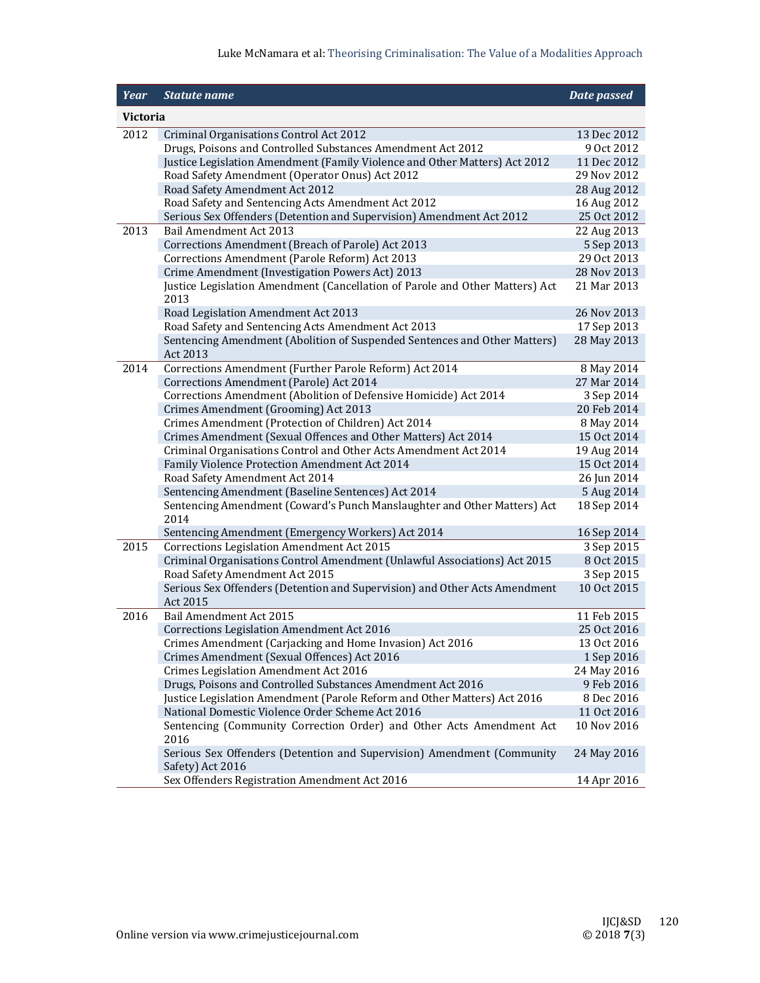## Luke McNamara et al: Theorising Criminalisation: The Value of a Modalities Approach

| <b>Year</b> | <b>Statute name</b>                                                                                               | Date passed                |  |  |  |  |  |  |  |  |  |  |
|-------------|-------------------------------------------------------------------------------------------------------------------|----------------------------|--|--|--|--|--|--|--|--|--|--|
|             | Victoria                                                                                                          |                            |  |  |  |  |  |  |  |  |  |  |
| 2012        | Criminal Organisations Control Act 2012                                                                           | 13 Dec 2012                |  |  |  |  |  |  |  |  |  |  |
|             | Drugs, Poisons and Controlled Substances Amendment Act 2012                                                       | 9 Oct 2012                 |  |  |  |  |  |  |  |  |  |  |
|             | Justice Legislation Amendment (Family Violence and Other Matters) Act 2012                                        | 11 Dec 2012                |  |  |  |  |  |  |  |  |  |  |
|             | Road Safety Amendment (Operator Onus) Act 2012                                                                    | 29 Nov 2012                |  |  |  |  |  |  |  |  |  |  |
|             | Road Safety Amendment Act 2012                                                                                    | 28 Aug 2012                |  |  |  |  |  |  |  |  |  |  |
|             | Road Safety and Sentencing Acts Amendment Act 2012                                                                | 16 Aug 2012                |  |  |  |  |  |  |  |  |  |  |
|             | Serious Sex Offenders (Detention and Supervision) Amendment Act 2012                                              | 25 Oct 2012                |  |  |  |  |  |  |  |  |  |  |
| 2013        | Bail Amendment Act 2013                                                                                           | 22 Aug 2013                |  |  |  |  |  |  |  |  |  |  |
|             | Corrections Amendment (Breach of Parole) Act 2013                                                                 | 5 Sep 2013                 |  |  |  |  |  |  |  |  |  |  |
|             | Corrections Amendment (Parole Reform) Act 2013                                                                    | 29 Oct 2013                |  |  |  |  |  |  |  |  |  |  |
|             | Crime Amendment (Investigation Powers Act) 2013                                                                   | 28 Nov 2013                |  |  |  |  |  |  |  |  |  |  |
|             | Justice Legislation Amendment (Cancellation of Parole and Other Matters) Act<br>2013                              | 21 Mar 2013                |  |  |  |  |  |  |  |  |  |  |
|             | Road Legislation Amendment Act 2013                                                                               | 26 Nov 2013                |  |  |  |  |  |  |  |  |  |  |
|             | Road Safety and Sentencing Acts Amendment Act 2013                                                                | 17 Sep 2013                |  |  |  |  |  |  |  |  |  |  |
|             | Sentencing Amendment (Abolition of Suspended Sentences and Other Matters)                                         | 28 May 2013                |  |  |  |  |  |  |  |  |  |  |
|             | Act 2013                                                                                                          |                            |  |  |  |  |  |  |  |  |  |  |
| 2014        | Corrections Amendment (Further Parole Reform) Act 2014                                                            | 8 May 2014                 |  |  |  |  |  |  |  |  |  |  |
|             | Corrections Amendment (Parole) Act 2014                                                                           | 27 Mar 2014                |  |  |  |  |  |  |  |  |  |  |
|             | Corrections Amendment (Abolition of Defensive Homicide) Act 2014                                                  | 3 Sep 2014                 |  |  |  |  |  |  |  |  |  |  |
|             | Crimes Amendment (Grooming) Act 2013                                                                              | 20 Feb 2014                |  |  |  |  |  |  |  |  |  |  |
|             | Crimes Amendment (Protection of Children) Act 2014                                                                | 8 May 2014                 |  |  |  |  |  |  |  |  |  |  |
|             | Crimes Amendment (Sexual Offences and Other Matters) Act 2014                                                     | 15 Oct 2014                |  |  |  |  |  |  |  |  |  |  |
|             | Criminal Organisations Control and Other Acts Amendment Act 2014<br>Family Violence Protection Amendment Act 2014 | 19 Aug 2014<br>15 Oct 2014 |  |  |  |  |  |  |  |  |  |  |
|             | Road Safety Amendment Act 2014                                                                                    | 26 Jun 2014                |  |  |  |  |  |  |  |  |  |  |
|             | Sentencing Amendment (Baseline Sentences) Act 2014                                                                | 5 Aug 2014                 |  |  |  |  |  |  |  |  |  |  |
|             | Sentencing Amendment (Coward's Punch Manslaughter and Other Matters) Act                                          | 18 Sep 2014                |  |  |  |  |  |  |  |  |  |  |
|             | 2014                                                                                                              |                            |  |  |  |  |  |  |  |  |  |  |
|             | Sentencing Amendment (Emergency Workers) Act 2014                                                                 | 16 Sep 2014                |  |  |  |  |  |  |  |  |  |  |
| 2015        | Corrections Legislation Amendment Act 2015                                                                        | 3 Sep 2015                 |  |  |  |  |  |  |  |  |  |  |
|             | Criminal Organisations Control Amendment (Unlawful Associations) Act 2015                                         | 8 Oct 2015                 |  |  |  |  |  |  |  |  |  |  |
|             | Road Safety Amendment Act 2015                                                                                    | 3 Sep 2015                 |  |  |  |  |  |  |  |  |  |  |
|             | Serious Sex Offenders (Detention and Supervision) and Other Acts Amendment<br>Act 2015                            | 10 Oct 2015                |  |  |  |  |  |  |  |  |  |  |
| 2016        | Bail Amendment Act 2015                                                                                           | 11 Feb 2015                |  |  |  |  |  |  |  |  |  |  |
|             | Corrections Legislation Amendment Act 2016                                                                        | 25 Oct 2016                |  |  |  |  |  |  |  |  |  |  |
|             | Crimes Amendment (Carjacking and Home Invasion) Act 2016                                                          | 13 Oct 2016                |  |  |  |  |  |  |  |  |  |  |
|             | Crimes Amendment (Sexual Offences) Act 2016                                                                       | 1 Sep 2016                 |  |  |  |  |  |  |  |  |  |  |
|             | Crimes Legislation Amendment Act 2016                                                                             | 24 May 2016                |  |  |  |  |  |  |  |  |  |  |
|             | Drugs, Poisons and Controlled Substances Amendment Act 2016                                                       | 9 Feb 2016                 |  |  |  |  |  |  |  |  |  |  |
|             | Justice Legislation Amendment (Parole Reform and Other Matters) Act 2016                                          | 8 Dec 2016                 |  |  |  |  |  |  |  |  |  |  |
|             | National Domestic Violence Order Scheme Act 2016                                                                  | 11 Oct 2016                |  |  |  |  |  |  |  |  |  |  |
|             | Sentencing (Community Correction Order) and Other Acts Amendment Act<br>2016                                      | 10 Nov 2016                |  |  |  |  |  |  |  |  |  |  |
|             | Serious Sex Offenders (Detention and Supervision) Amendment (Community<br>Safety) Act 2016                        | 24 May 2016                |  |  |  |  |  |  |  |  |  |  |
|             | Sex Offenders Registration Amendment Act 2016                                                                     | 14 Apr 2016                |  |  |  |  |  |  |  |  |  |  |